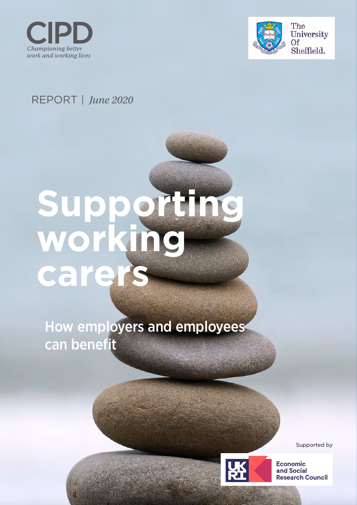



### REPORT | *June 2020*

# **Supporting working carers**

How employers and employees can benefit



Supported by

**Economic** and Social **Research Council**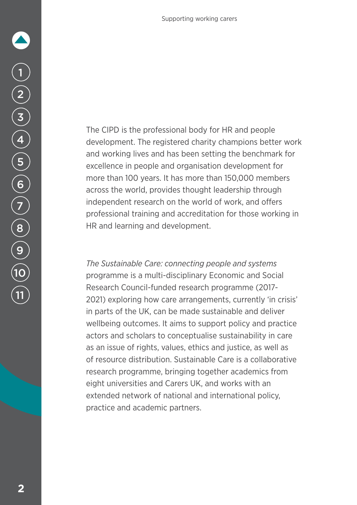The CIPD is the professional body for HR and people development. The registered charity champions better work and working lives and has been setting the benchmark for excellence in people and organisation development for more than 100 years. It has more than 150,000 members across the world, provides thought leadership through independent research on the world of work, and offers professional training and accreditation for those working in HR and learning and development.

*The Sustainable Care: connecting people and systems* programme is a multi-disciplinary Economic and Social Research Council-funded research programme (2017- 2021) exploring how care arrangements, currently 'in crisis' in parts of the UK, can be made sustainable and deliver wellbeing outcomes. It aims to support policy and practice actors and scholars to conceptualise sustainability in care as an issue of rights, values, ethics and justice, as well as of resource distribution. Sustainable Care is a collaborative research programme, bringing together academics from eight universities and Carers UK, and works with an extended network of national and international policy, practice and academic partners.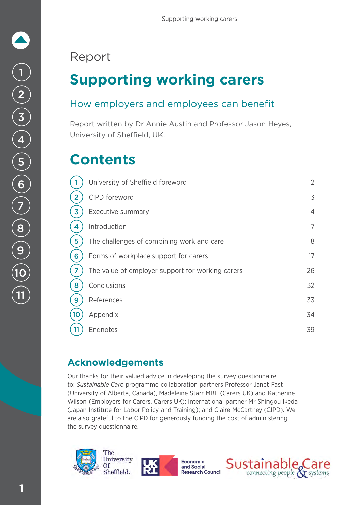# [1](#page-3-0) [2](#page-4-0) [3](#page-5-0) [4](#page-8-0) [5](#page-9-0) [6](#page-18-0) [7](#page-27-0) [8](#page-33-0) [9](#page-34-0) [10](#page-35-0) [11](#page-40-0)

### Report

### **Supporting working carers**

### How employers and employees can benefit

Report written by Dr Annie Austin and Professor Jason Heyes, University of Sheffield, UK.

### **Contents**

|    | University of Sheffield foreword                 | $\overline{2}$ |
|----|--------------------------------------------------|----------------|
|    | CIPD foreword                                    | 3              |
| 3  | Executive summary                                | $\overline{4}$ |
|    | Introduction                                     | 7              |
| 5  | The challenges of combining work and care        | 8              |
| 6  | Forms of workplace support for carers            | 17             |
|    | The value of employer support for working carers | 26             |
| 8  | Conclusions                                      | 32             |
| 9  | References                                       | 33             |
| 10 | Appendix                                         | 34             |
| 11 | Endnotes                                         | 39             |

### **Acknowledgements**

Our thanks for their valued advice in developing the survey questionnaire to: *Sustainable Care* programme collaboration partners Professor Janet Fast (University of Alberta, Canada), Madeleine Starr MBE (Carers UK) and Katherine Wilson (Employers for Carers, Carers UK); international partner Mr Shingou Ikeda (Japan Institute for Labor Policy and Training); and Claire McCartney (CIPD). We are also grateful to the CIPD for generously funding the cost of administering the survey questionnaire.





**Economic** and Social **Research Council** 

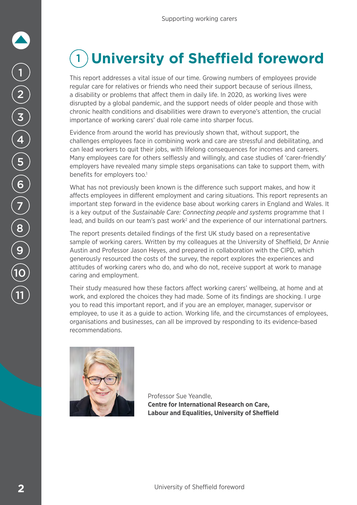# <span id="page-3-0"></span>1 **University of Sheffield foreword**

This report addresses a vital issue of our time. Growing numbers of employees provide regular care for relatives or friends who need their support because of serious illness, a disability or problems that affect them in daily life. In 2020, as working lives were disrupted by a global pandemic, and the support needs of older people and those with chronic health conditions and disabilities were drawn to everyone's attention, the crucial importance of working carers' dual role came into sharper focus.

Evidence from around the world has previously shown that, without support, the challenges employees face in combining work and care are stressful and debilitating, and can lead workers to quit their jobs, with lifelong consequences for incomes and careers. Many employees care for others selflessly and willingly, and case studies of 'carer-friendly' employers have revealed many simple steps organisations can take to support them, with benefits for employers too.<sup>1</sup>

What has not previously been known is the difference such support makes, and how it affects employees in different employment and caring situations. This report represents an important step forward in the evidence base about working carers in England and Wales. It is a key output of the *Sustainable Care: Connecting people and systems* programme that I lead, and builds on our team's past work<sup>2</sup> and the experience of our international partners.

The report presents detailed findings of the first UK study based on a representative sample of working carers. Written by my colleagues at the University of Sheffield, Dr Annie Austin and Professor Jason Heyes, and prepared in collaboration with the CIPD, which generously resourced the costs of the survey, the report explores the experiences and attitudes of working carers who do, and who do not, receive support at work to manage caring and employment.

Their study measured how these factors affect working carers' wellbeing, at home and at work, and explored the choices they had made. Some of its findings are shocking. I urge you to read this important report, and if you are an employer, manager, supervisor or employee, to use it as a guide to action. Working life, and the circumstances of employees, organisations and businesses, can all be improved by responding to its evidence-based recommendations.



Professor Sue Yeandle, **Centre for International Research on Care, Labour and Equalities, University of Sheffield**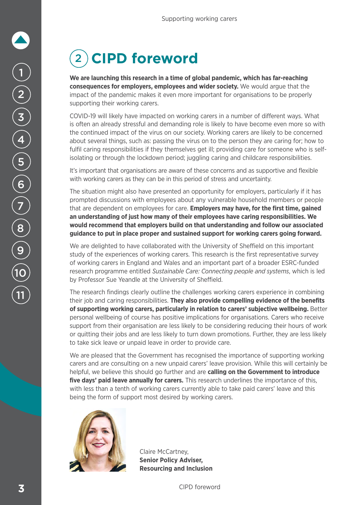# <span id="page-4-0"></span>2 **CIPD foreword**

**We are launching this research in a time of global pandemic, which has far-reaching consequences for employers, employees and wider society.** We would argue that the impact of the pandemic makes it even more important for organisations to be properly supporting their working carers.

COVID-19 will likely have impacted on working carers in a number of different ways. What is often an already stressful and demanding role is likely to have become even more so with the continued impact of the virus on our society. Working carers are likely to be concerned about several things, such as: passing the virus on to the person they are caring for; how to fulfil caring responsibilities if they themselves get ill; providing care for someone who is selfisolating or through the lockdown period; juggling caring and childcare responsibilities.

It's important that organisations are aware of these concerns and as supportive and flexible with working carers as they can be in this period of stress and uncertainty.

The situation might also have presented an opportunity for employers, particularly if it has prompted discussions with employees about any vulnerable household members or people that are dependent on employees for care. **Employers may have, for the first time, gained an understanding of just how many of their employees have caring responsibilities. We would recommend that employers build on that understanding and follow our associated guidance to put in place proper and sustained support for working carers going forward.** 

We are delighted to have collaborated with the University of Sheffield on this important study of the experiences of working carers. This research is the first representative survey of working carers in England and Wales and an important part of a broader ESRC-funded research programme entitled *Sustainable Care: Connecting people and systems*, which is led by Professor Sue Yeandle at the University of Sheffield.

The research findings clearly outline the challenges working carers experience in combining their job and caring responsibilities. **They also provide compelling evidence of the benefits of supporting working carers, particularly in relation to carers' subjective wellbeing.** Better personal wellbeing of course has positive implications for organisations. Carers who receive support from their organisation are less likely to be considering reducing their hours of work or quitting their jobs and are less likely to turn down promotions. Further, they are less likely to take sick leave or unpaid leave in order to provide care.

We are pleased that the Government has recognised the importance of supporting working carers and are consulting on a new unpaid carers' leave provision. While this will certainly be helpful, we believe this should go further and are **calling on the Government to introduce five days' paid leave annually for carers.** This research underlines the importance of this, with less than a tenth of working carers currently able to take paid carers' leave and this being the form of support most desired by working carers.



Claire McCartney, **Senior Policy Adviser, Resourcing and Inclusion**

**3**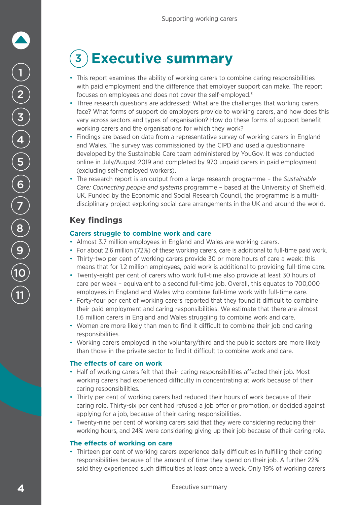### 3 **Executive summary**

- This report examines the ability of working carers to combine caring responsibilities with paid employment and the difference that employer support can make. The report focuses on employees and does not cover the self-employed.3
- Three research questions are addressed: What are the challenges that working carers face? What forms of support do employers provide to working carers, and how does this vary across sectors and types of organisation? How do these forms of support benefit working carers and the organisations for which they work?
- Findings are based on data from a representative survey of working carers in England and Wales. The survey was commissioned by the CIPD and used a questionnaire developed by the Sustainable Care team administered by YouGov. It was conducted online in July/August 2019 and completed by 970 unpaid carers in paid employment (excluding self-employed workers).
- The research report is an output from a large research programme the *Sustainable Care: Connecting people and systems* programme – based at the University of Sheffield, UK. Funded by the Economic and Social Research Council, the programme is a multidisciplinary project exploring social care arrangements in the UK and around the world.

#### **Key findings**

#### **Carers struggle to combine work and care**

- Almost 3.7 million employees in England and Wales are working carers.
- For about 2.6 million (72%) of these working carers, care is additional to full-time paid work.
- Thirty-two per cent of working carers provide 30 or more hours of care a week: this means that for 1.2 million employees, paid work is additional to providing full-time care.
- Twenty-eight per cent of carers who work full-time also provide at least 30 hours of care per week – equivalent to a second full-time job. Overall, this equates to 700,000 employees in England and Wales who combine full-time work with full-time care.
- Forty-four per cent of working carers reported that they found it difficult to combine their paid employment and caring responsibilities. We estimate that there are almost 1.6 million carers in England and Wales struggling to combine work and care.
- Women are more likely than men to find it difficult to combine their job and caring responsibilities.
- Working carers employed in the voluntary/third and the public sectors are more likely than those in the private sector to find it difficult to combine work and care.

#### **The effects of care on work**

- Half of working carers felt that their caring responsibilities affected their job. Most working carers had experienced difficulty in concentrating at work because of their caring responsibilities.
- Thirty per cent of working carers had reduced their hours of work because of their caring role. Thirty-six per cent had refused a job offer or promotion, or decided against applying for a job, because of their caring responsibilities.
- Twenty-nine per cent of working carers said that they were considering reducing their working hours, and 24% were considering giving up their job because of their caring role.

#### **The effects of working on care**

• Thirteen per cent of working carers experience daily difficulties in fulfilling their caring responsibilities because of the amount of time they spend on their job. A further 22% said they experienced such difficulties at least once a week. Only 19% of working carers

<span id="page-5-0"></span>[1](#page-3-0)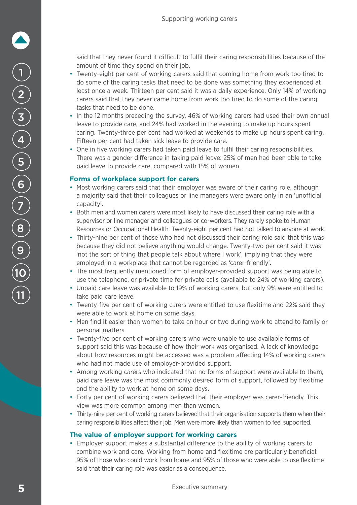said that they never found it difficult to fulfil their caring responsibilities because of the amount of time they spend on their job.

- Twenty-eight per cent of working carers said that coming home from work too tired to do some of the caring tasks that need to be done was something they experienced at least once a week. Thirteen per cent said it was a daily experience. Only 14% of working carers said that they never came home from work too tired to do some of the caring tasks that need to be done.
- In the 12 months preceding the survey, 46% of working carers had used their own annual leave to provide care, and 24% had worked in the evening to make up hours spent caring. Twenty-three per cent had worked at weekends to make up hours spent caring. Fifteen per cent had taken sick leave to provide care.
- One in five working carers had taken paid leave to fulfil their caring responsibilities. There was a gender difference in taking paid leave: 25% of men had been able to take paid leave to provide care, compared with 15% of women.

#### **Forms of workplace support for carers**

- Most working carers said that their employer was aware of their caring role, although a majority said that their colleagues or line managers were aware only in an 'unofficial capacity'.
- Both men and women carers were most likely to have discussed their caring role with a supervisor or line manager and colleagues or co-workers. They rarely spoke to Human Resources or Occupational Health. Twenty-eight per cent had not talked to anyone at work.
- Thirty-nine per cent of those who had not discussed their caring role said that this was because they did not believe anything would change. Twenty-two per cent said it was 'not the sort of thing that people talk about where I work', implying that they were employed in a workplace that cannot be regarded as 'carer-friendly'.
- The most frequently mentioned form of employer-provided support was being able to use the telephone, or private time for private calls (available to 24% of working carers).
- Unpaid care leave was available to 19% of working carers, but only 9% were entitled to take paid care leave.
- Twenty-five per cent of working carers were entitled to use flexitime and 22% said they were able to work at home on some days.
- Men find it easier than women to take an hour or two during work to attend to family or personal matters.
- Twenty-five per cent of working carers who were unable to use available forms of support said this was because of how their work was organised. A lack of knowledge about how resources might be accessed was a problem affecting 14% of working carers who had not made use of employer-provided support.
- Among working carers who indicated that no forms of support were available to them, paid care leave was the most commonly desired form of support, followed by flexitime and the ability to work at home on some days.
- Forty per cent of working carers believed that their employer was carer-friendly. This view was more common among men than women.
- Thirty-nine per cent of working carers believed that their organisation supports them when their caring responsibilities affect their job. Men were more likely than women to feel supported.

#### **The value of employer support for working carers**

• Employer support makes a substantial difference to the ability of working carers to combine work and care. Working from home and flexitime are particularly beneficial: 95% of those who could work from home and 95% of those who were able to use flexitime said that their caring role was easier as a consequence.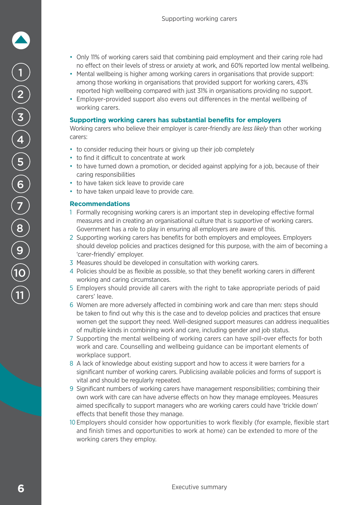- Only 11% of working carers said that combining paid employment and their caring role had no effect on their levels of stress or anxiety at work, and 60% reported low mental wellbeing.
- Mental wellbeing is higher among working carers in organisations that provide support: among those working in organisations that provided support for working carers, 43% reported high wellbeing compared with just 31% in organisations providing no support.
- Employer-provided support also evens out differences in the mental wellbeing of working carers.

#### **Supporting working carers has substantial benefits for employers**

Working carers who believe their employer is carer-friendly are *less likely* than other working carers:

- to consider reducing their hours or giving up their job completely
- to find it difficult to concentrate at work
- to have turned down a promotion, or decided against applying for a job, because of their caring responsibilities
- to have taken sick leave to provide care
- to have taken unpaid leave to provide care.

#### **Recommendations**

- 1 Formally recognising working carers is an important step in developing effective formal measures and in creating an organisational culture that is supportive of working carers. Government has a role to play in ensuring all employers are aware of this.
- 2 Supporting working carers has benefits for both employers and employees. Employers should develop policies and practices designed for this purpose, with the aim of becoming a 'carer-friendly' employer.
- 3 Measures should be developed in consultation with working carers.
- 4 Policies should be as flexible as possible, so that they benefit working carers in different working and caring circumstances.
- 5 Employers should provide all carers with the right to take appropriate periods of paid carers' leave.
- 6 Women are more adversely affected in combining work and care than men: steps should be taken to find out why this is the case and to develop policies and practices that ensure women get the support they need. Well-designed support measures can address inequalities of multiple kinds in combining work and care, including gender and job status.
- 7 Supporting the mental wellbeing of working carers can have spill-over effects for both work and care. Counselling and wellbeing guidance can be important elements of workplace support.
- 8 A lack of knowledge about existing support and how to access it were barriers for a significant number of working carers. Publicising available policies and forms of support is vital and should be regularly repeated.
- 9 Significant numbers of working carers have management responsibilities; combining their own work with care can have adverse effects on how they manage employees. Measures aimed specifically to support managers who are working carers could have 'trickle down' effects that benefit those they manage.
- 10 Employers should consider how opportunities to work flexibly (for example, flexible start and finish times and opportunities to work at home) can be extended to more of the working carers they employ.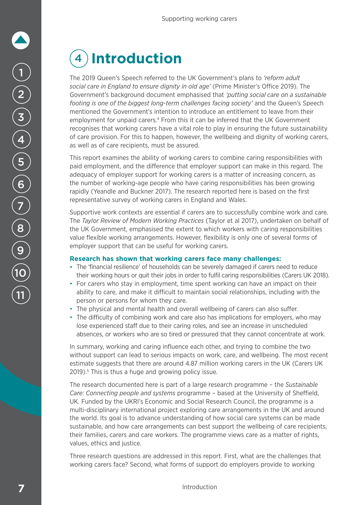# <span id="page-8-0"></span>4 **Introduction**

The 2019 Queen's Speech referred to the UK Government's plans to *'reform adult social care in England to ensure dignity in old age'* (Prime Minister's Office 2019). The Government's background document emphasised that *'putting social care on a sustainable footing is one of the biggest long-term challenges facing society'* and the Queen's Speech mentioned the Government's intention to introduce an entitlement to leave from their employment for unpaid carers.4 From this it can be inferred that the UK Government recognises that working carers have a vital role to play in ensuring the future sustainability of care provision. For this to happen, however, the wellbeing and dignity of working carers, as well as of care recipients, must be assured.

This report examines the ability of working carers to combine caring responsibilities with paid employment, and the difference that employer support can make in this regard. The adequacy of employer support for working carers is a matter of increasing concern, as the number of working-age people who have caring responsibilities has been growing rapidly (Yeandle and Buckner 2017). The research reported here is based on the first representative survey of working carers in England and Wales.

Supportive work contexts are essential if carers are to successfully combine work and care. The *Taylor Review of Modern Working Practices* (Taylor et al 2017), undertaken on behalf of the UK Government, emphasised the extent to which workers with caring responsibilities value flexible working arrangements. However, flexibility is only one of several forms of employer support that can be useful for working carers.

#### **Research has shown that working carers face many challenges:**

- The 'financial resilience' of households can be severely damaged if carers need to reduce their working hours or quit their jobs in order to fulfil caring responsibilities (Carers UK 2018).
- For carers who stay in employment, time spent working can have an impact on their ability to care, and make it difficult to maintain social relationships, including with the person or persons for whom they care.
- The physical and mental health and overall wellbeing of carers can also suffer.
- The difficulty of combining work and care also has implications for employers, who may lose experienced staff due to their caring roles, and see an increase in unscheduled absences, or workers who are so tired or pressured that they cannot concentrate at work.

In summary, working and caring influence each other, and trying to combine the two without support can lead to serious impacts on work, care, and wellbeing. The most recent estimate suggests that there are around 4.87 million working carers in the UK (Carers UK 2019).<sup>5</sup> This is thus a huge and growing policy issue.

The research documented here is part of a large research programme – the *Sustainable Care: Connecting people and systems* programme – based at the University of Sheffield, UK. Funded by the UKRI's Economic and Social Research Council, the programme is a multi-disciplinary international project exploring care arrangements in the UK and around the world. Its goal is to advance understanding of how social care systems can be made sustainable, and how care arrangements can best support the wellbeing of care recipients, their families, carers and care workers. The programme views care as a matter of rights, values, ethics and justice.

Three research questions are addressed in this report. First, what are the challenges that working carers face? Second, what forms of support do employers provide to working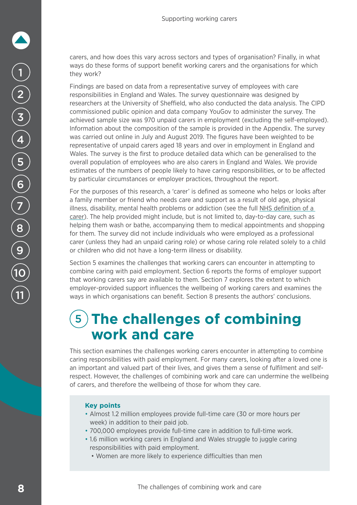<span id="page-9-0"></span>carers, and how does this vary across sectors and types of organisation? Finally, in what ways do these forms of support benefit working carers and the organisations for which they work?

Findings are based on data from a representative survey of employees with care responsibilities in England and Wales. The survey questionnaire was designed by researchers at the University of Sheffield, who also conducted the data analysis. The CIPD commissioned public opinion and data company YouGov to administer the survey. The achieved sample size was 970 unpaid carers in employment (excluding the self-employed). Information about the composition of the sample is provided in the Appendix. The survey was carried out online in July and August 2019. The figures have been weighted to be representative of unpaid carers aged 18 years and over in employment in England and Wales. The survey is the first to produce detailed data which can be generalised to the overall population of employees who are also carers in England and Wales. We provide estimates of the numbers of people likely to have caring responsibilities, or to be affected by particular circumstances or employer practices, throughout the report.

For the purposes of this research, a 'carer' is defined as someone who helps or looks after a family member or friend who needs care and support as a result of old age, physical illness, disability, mental health problems or addiction (see the full [NHS definition of a](https://www.england.nhs.uk/commissioning/comm-carers/carers/)  [carer](https://www.england.nhs.uk/commissioning/comm-carers/carers/)). The help provided might include, but is not limited to, day-to-day care, such as helping them wash or bathe, accompanying them to medical appointments and shopping for them. The survey did not include individuals who were employed as a professional carer (unless they had an unpaid caring role) or whose caring role related solely to a child or children who did not have a long-term illness or disability.

Section 5 examines the challenges that working carers can encounter in attempting to combine caring with paid employment. Section 6 reports the forms of employer support that working carers say are available to them. Section 7 explores the extent to which employer-provided support influences the wellbeing of working carers and examines the ways in which organisations can benefit. Section 8 presents the authors' conclusions.

### 5 **The challenges of combining work and care**

This section examines the challenges working carers encounter in attempting to combine caring responsibilities with paid employment. For many carers, looking after a loved one is an important and valued part of their lives, and gives them a sense of fulfilment and selfrespect. However, the challenges of combining work and care can undermine the wellbeing of carers, and therefore the wellbeing of those for whom they care.

#### **Key points**

- Almost 1.2 million employees provide full-time care (30 or more hours per week) in addition to their paid job.
- 700,000 employees provide full-time care in addition to full-time work.
- 1.6 million working carers in England and Wales struggle to juggle caring responsibilities with paid employment.
	- Women are more likely to experience difficulties than men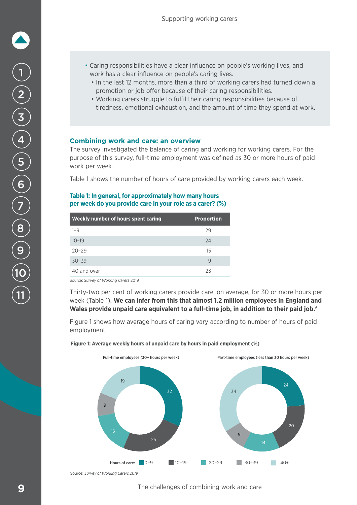- Caring responsibilities have a clear influence on people's working lives, and work has a clear influence on people's caring lives.
	- In the last 12 months, more than a third of working carers had turned down a promotion or job offer because of their caring responsibilities.
	- Working carers struggle to fulfil their caring responsibilities because of tiredness, emotional exhaustion, and the amount of time they spend at work.

#### **Combining work and care: an overview**

The survey investigated the balance of caring and working for working carers. For the purpose of this survey, full-time employment was defined as 30 or more hours of paid work per week.

Table 1 shows the number of hours of care provided by working carers each week.

#### **Table 1: In general, for approximately how many hours per week do you provide care in your role as a carer? (%)**

| Weekly number of hours spent caring | <b>Proportion</b> |
|-------------------------------------|-------------------|
| $1 - 9$                             | 29                |
| $10 - 19$                           | 24                |
| $20 - 29$                           | 15                |
| $30 - 39$                           | 9                 |
| 40 and over                         | 23                |

Source: *Survey of Working Carers* 2019

Thirty-two per cent of working carers provide care, on average, for 30 or more hours per week (Table 1). **We can infer from this that almost 1.2 million employees in England and Wales provide unpaid care equivalent to a full-time job, in addition to their paid job.**<sup>6</sup>

Figure 1 shows how average hours of caring vary according to number of hours of paid employment.

#### **Figure 1: Average weekly hours of unpaid care by hours in paid employment (%)**



Source: *Survey of Working Carers 2019*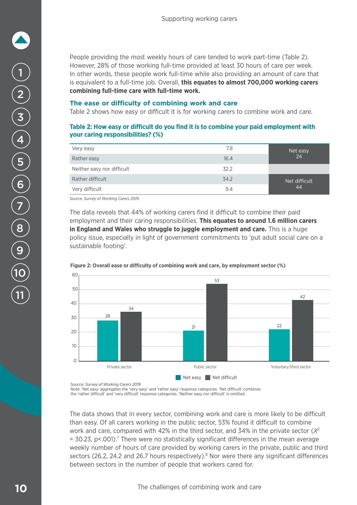People providing the most weekly hours of care tended to work part-time (Table 2). However, 28% of those working full-time provided at least 30 hours of care per week. In other words, these people work full-time while also providing an amount of care that is equivalent to a full-time job. Overall, **this equates to almost 700,000 working carers combining full-time care with full-time work.** 

#### **The ease or difficulty of combining work and care**

Table 2 shows how easy or difficult it is for working carers to combine work and care.

#### **Table 2: How easy or difficult do you find it is to combine your paid employment with your caring responsibilities? (%)**

| Very easy                  | 7.8  | Net easy      |
|----------------------------|------|---------------|
| Rather easy                | 16.4 | 24            |
| Neither easy nor difficult | 32.2 |               |
| Rather difficult           | 34.2 | Net difficult |
| Very difficult             | 9.4  | 44            |

Source: *Survey of Working Carers 2019*

The data reveals that 44% of working carers find it difficult to combine their paid employment and their caring responsibilities. **This equates to around 1.6 million carers in England and Wales who struggle to juggle employment and care.** This is a huge policy issue, especially in light of government commitments to 'put adult social care on a sustainable footing'.





Source: *Survey of Working Carers 2019*

Note: 'Net easy' aggregates the 'very easy' and 'rather easy' response categories. 'Net difficult' combines the 'rather difficult' and 'very difficult' response categories. 'Neither easy nor difficult' is omitted.

The data shows that in every sector, combining work and care is more likely to be difficult than easy. Of all carers working in the public sector, 53% found it difficult to combine work and care, compared with 42% in the third sector, and 34% in the private sector (*X2* = 30.23, p<.001).<sup>7</sup> There were no statistically significant differences in the mean average weekly number of hours of care provided by working carers in the private, public and third sectors (26.2, 24.2 and 26.7 hours respectively).<sup>8</sup> Nor were there any significant differences between sectors in the number of people that workers cared for.

[1](#page-3-0)

[2](#page-4-0)

[3](#page-5-0)

[4](#page-8-0)

[5](#page-9-0)

[6](#page-18-0)

[7](#page-27-0)

[8](#page-33-0)

[9](#page-34-0)

[10](#page-35-0)

[11](#page-40-0)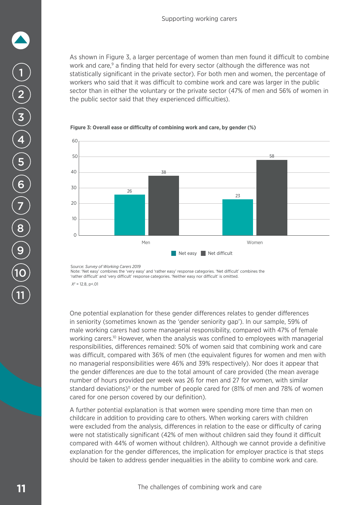Supporting working carers

As shown in Figure 3, a larger percentage of women than men found it difficult to combine work and care,<sup>9</sup> a finding that held for every sector (although the difference was not statistically significant in the private sector). For both men and women, the percentage of workers who said that it was difficult to combine work and care was larger in the public sector than in either the voluntary or the private sector (47% of men and 56% of women in the public sector said that they experienced difficulties).



#### Figure 3: Overall ease or difficulty of combining work and care, by gender (%)

Source: *Survey of Working Carers 2019*

Note: 'Net easy' combines the 'very easy' and 'rather easy' response categories. 'Net difficult' combines the 'rather difficult' and 'very difficult' response categories. 'Neither easy nor difficult' is omitted.  $X^2 = 12.8$ , p<.01

One potential explanation for these gender differences relates to gender differences in seniority (sometimes known as the 'gender seniority gap'). In our sample, 59% of male working carers had some managerial responsibility, compared with 47% of female working carers.<sup>10</sup> However, when the analysis was confined to employees with managerial responsibilities, differences remained: 50% of women said that combining work and care was difficult, compared with 36% of men (the equivalent figures for women and men with no managerial responsibilities were 46% and 39% respectively). Nor does it appear that the gender differences are due to the total amount of care provided (the mean average number of hours provided per week was 26 for men and 27 for women, with similar standard deviations)<sup>11</sup> or the number of people cared for (81% of men and 78% of women cared for one person covered by our definition).

A further potential explanation is that women were spending more time than men on childcare in addition to providing care to others. When working carers with children were excluded from the analysis, differences in relation to the ease or difficulty of caring were not statistically significant (42% of men without children said they found it difficult compared with 44% of women without children). Although we cannot provide a definitive explanation for the gender differences, the implication for employer practice is that steps should be taken to address gender inequalities in the ability to combine work and care.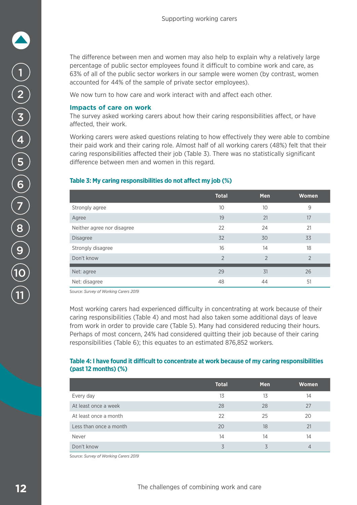The difference between men and women may also help to explain why a relatively large percentage of public sector employees found it difficult to combine work and care, as 63% of all of the public sector workers in our sample were women (by contrast, women accounted for 44% of the sample of private sector employees).

We now turn to how care and work interact with and affect each other.

#### **Impacts of care on work**

The survey asked working carers about how their caring responsibilities affect, or have affected, their work.

Working carers were asked questions relating to how effectively they were able to combine their paid work and their caring role. Almost half of all working carers (48%) felt that their caring responsibilities affected their job (Table 3). There was no statistically significant difference between men and women in this regard.

#### **Table 3: My caring responsibilities do not affect my job (%)**

|                            | <b>Total</b> | <b>Men</b>      | Women          |
|----------------------------|--------------|-----------------|----------------|
| Strongly agree             | 10           | 10 <sup>°</sup> | 9              |
| Agree                      | 19           | 21              | 17             |
| Neither agree nor disagree | 22           | 24              | 21             |
| <b>Disagree</b>            | 32           | 30              | 33             |
| Strongly disagree          | 16           | 14              | 18             |
| Don't know                 | 2            | $\overline{2}$  | $\overline{2}$ |
|                            |              |                 |                |
| Net: agree                 | 29           | 31              | 26             |
| Net: disagree              | 48           | 44              | 51             |

Source: *Survey of Working Carers 2019*

Most working carers had experienced difficulty in concentrating at work because of their caring responsibilities (Table 4) and most had also taken some additional days of leave from work in order to provide care (Table 5). Many had considered reducing their hours. Perhaps of most concern, 24% had considered quitting their job because of their caring responsibilities (Table 6); this equates to an estimated 876,852 workers.

#### **Table 4: I have found it difficult to concentrate at work because of my caring responsibilities (past 12 months) (%)**

|                        | <b>Total</b>   | <b>Men</b> | <b>Women</b> |
|------------------------|----------------|------------|--------------|
| Every day              | 13             | 13         | 14           |
| At least once a week   | 28             | 28         | 27           |
| At least once a month  | 22             | 25         | 20           |
| Less than once a month | 20             | 18         | 21           |
| Never                  | 14             | 14         | 14           |
| Don't know             | $\overline{5}$ |            | 4            |

Source: *Survey of Working Carers 2019*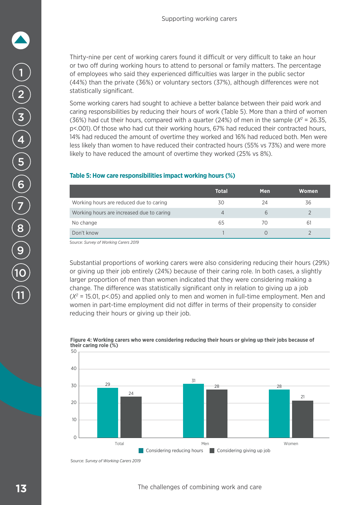Thirty-nine per cent of working carers found it difficult or very difficult to take an hour or two off during working hours to attend to personal or family matters. The percentage of employees who said they experienced difficulties was larger in the public sector (44%) than the private (36%) or voluntary sectors (37%), although differences were not statistically significant.

Some working carers had sought to achieve a better balance between their paid work and caring responsibilities by reducing their hours of work (Table 5). More than a third of women (36%) had cut their hours, compared with a quarter (24%) of men in the sample ( $X^2 = 26.35$ , p<.001). Of those who had cut their working hours, 67% had reduced their contracted hours, 14% had reduced the amount of overtime they worked and 16% had reduced both. Men were less likely than women to have reduced their contracted hours (55% vs 73%) and were more likely to have reduced the amount of overtime they worked (25% vs 8%).

#### **Table 5: How care responsibilities impact working hours (%)**

|                                           | <b>Total</b> | <b>Men</b> | Women |
|-------------------------------------------|--------------|------------|-------|
| Working hours are reduced due to caring   | 30           | 24         | 36    |
| Working hours are increased due to caring |              | b          |       |
| No change                                 | 65           | $\sqrt{2}$ | 61    |
| Don't know                                |              |            |       |

Source: *Survey of Working Carers 2019*

Substantial proportions of working carers were also considering reducing their hours (29%) or giving up their job entirely (24%) because of their caring role. In both cases, a slightly larger proportion of men than women indicated that they were considering making a change. The difference was statistically significant only in relation to giving up a job  $(X^2 = 15.01, p < .05)$  and applied only to men and women in full-time employment. Men and women in part-time employment did not differ in terms of their propensity to consider reducing their hours or giving up their job.



#### **Figure 4: Working carers who were considering reducing their hours or giving up their jobs because of their caring role (%)**

[1](#page-3-0)

[2](#page-4-0)

[3](#page-5-0)

[4](#page-8-0)

[5](#page-9-0)

[6](#page-18-0)

[7](#page-27-0)

[8](#page-33-0)

[9](#page-34-0)

[10](#page-35-0)

[11](#page-40-0)

Source: *Survey of Working Carers 2019*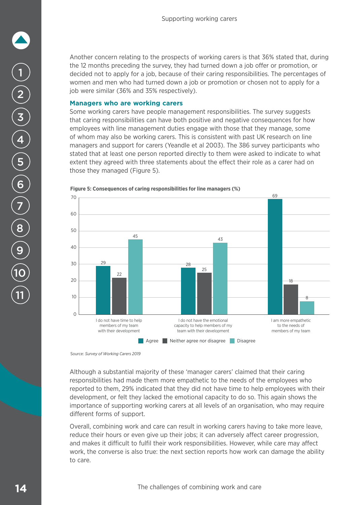Another concern relating to the prospects of working carers is that 36% stated that, during the 12 months preceding the survey, they had turned down a job offer or promotion, or decided not to apply for a job, because of their caring responsibilities. The percentages of women and men who had turned down a job or promotion or chosen not to apply for a job were similar (36% and 35% respectively).

#### **Managers who are working carers**

Some working carers have people management responsibilities. The survey suggests that caring responsibilities can have both positive and negative consequences for how employees with line management duties engage with those that they manage, some of whom may also be working carers. This is consistent with past UK research on line managers and support for carers (Yeandle et al 2003). The 386 survey participants who stated that at least one person reported directly to them were asked to indicate to what extent they agreed with three statements about the effect their role as a carer had on those they managed (Figure 5).





Source: *Survey of Working Carers 2019*

Although a substantial majority of these 'manager carers' claimed that their caring responsibilities had made them more empathetic to the needs of the employees who reported to them, 29% indicated that they did not have time to help employees with their development, or felt they lacked the emotional capacity to do so. This again shows the importance of supporting working carers at all levels of an organisation, who may require different forms of support.

Overall, combining work and care can result in working carers having to take more leave, reduce their hours or even give up their jobs; it can adversely affect career progression, and makes it difficult to fulfil their work responsibilities. However, while care may affect work, the converse is also true: the next section reports how work can damage the ability to care.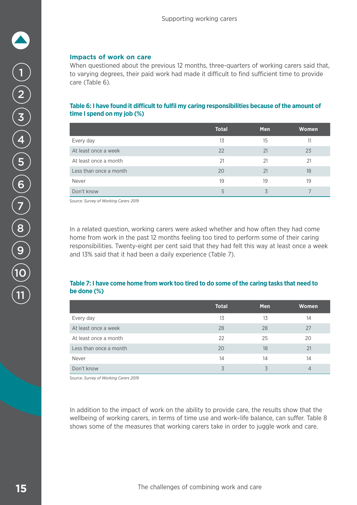#### **Impacts of work on care**

When questioned about the previous 12 months, three-quarters of working carers said that, to varying degrees, their paid work had made it difficult to find sufficient time to provide care (Table 6).

#### **Table 6: I have found it difficult to fulfil my caring responsibilities because of the amount of time I spend on my job (%)**

|                        | <b>Total</b> | <b>Men</b> | <b>Women</b> |
|------------------------|--------------|------------|--------------|
| Every day              | 13           | 15         |              |
| At least once a week   | 22           | 21         | 23           |
| At least once a month  | 21           | 21         | 21           |
| Less than once a month | 20           | 21         | 18           |
| Never                  | 19           | 19         | 19           |
| Don't know             | 5            | 3          |              |

Source: *Survey of Working Carers 2019*

In a related question, working carers were asked whether and how often they had come home from work in the past 12 months feeling too tired to perform some of their caring responsibilities. Twenty-eight per cent said that they had felt this way at least once a week and 13% said that it had been a daily experience (Table 7).

#### **Table 7: I have come home from work too tired to do some of the caring tasks that need to be done (%)**

|                        | <b>Total</b> | <b>Men</b> | Women |
|------------------------|--------------|------------|-------|
| Every day              | 13           | 13         | 14    |
| At least once a week   | 28           | 28         | 27    |
| At least once a month  | 22           | 25         | 20    |
| Less than once a month | 20           | 18         | 21    |
| Never                  | 14           | 14         | 14    |
| Don't know             | 3            | 3          |       |

Source: *Survey of Working Carers 2019*

In addition to the impact of work on the ability to provide care, the results show that the wellbeing of working carers, in terms of time use and work–life balance, can suffer. Table 8 shows some of the measures that working carers take in order to juggle work and care.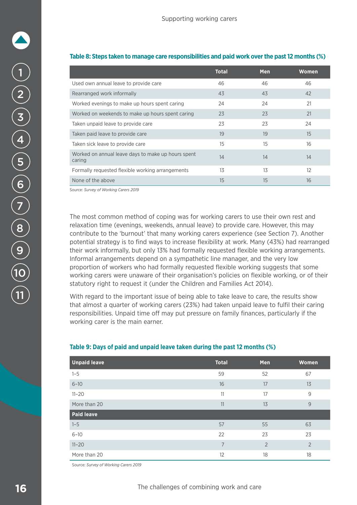| Table 8: Steps taken to                                                                              |
|------------------------------------------------------------------------------------------------------|
|                                                                                                      |
| Used own annual leave to                                                                             |
| Rearranged work informal                                                                             |
| Worked evenings to make                                                                              |
| Worked on weekends to m                                                                              |
| Taken unpaid leave to prov                                                                           |
| Taken paid leave to provid                                                                           |
| Taken sick leave to provide                                                                          |
| Worked on annual leave d<br>caring                                                                   |
| Formally requested flexibl                                                                           |
| None of the above                                                                                    |
| Source: Survey of Working Carers 2                                                                   |
| The most common me<br>relaxation time (evenir<br>contribute to the 'burr<br>potential strategy is to |

#### **Table 8: Steps taken to manage care responsibilities and paid work over the past 12 months (%)**

|                                                              | <b>Total</b> | <b>Men</b> | <b>Women</b> |
|--------------------------------------------------------------|--------------|------------|--------------|
| Used own annual leave to provide care                        | 46           | 46         | 46           |
| Rearranged work informally                                   | 43           | 43         | 42           |
| Worked evenings to make up hours spent caring                | 24           | 24         | 21           |
| Worked on weekends to make up hours spent caring             | 23           | 23         | 21           |
| Taken unpaid leave to provide care                           | 23           | 23         | 24           |
| Taken paid leave to provide care                             | 19           | 19         | 15           |
| Taken sick leave to provide care                             | 15           | 15         | 16           |
| Worked on annual leave days to make up hours spent<br>caring | 14           | 14         | 14           |
| Formally requested flexible working arrangements             | 13           | 13         | 12           |
| None of the above                                            | 15           | 15         | 16           |

Source: *Survey of Working Carers 2019*

ethod of coping was for working carers to use their own rest and ngs, weekends, annual leave) to provide care. However, this may nout' that many working carers experience (see Section 7). Another potend ways to increase flexibility at work. Many (43%) had rearranged their work informally, but only 13% had formally requested flexible working arrangements. Informal arrangements depend on a sympathetic line manager, and the very low proportion of workers who had formally requested flexible working suggests that some working carers were unaware of their organisation's policies on flexible working, or of their statutory right to request it (under the Children and Families Act 2014).

With regard to the important issue of being able to take leave to care, the results show that almost a quarter of working carers (23%) had taken unpaid leave to fulfil their caring responsibilities. Unpaid time off may put pressure on family finances, particularly if the working carer is the main earner.

| <b>Unpaid leave</b> | <b>Total</b> | Men            | Women          |
|---------------------|--------------|----------------|----------------|
| $1 - 5$             | 59           | 52             | 67             |
| $6 - 10$            | 16           | 17             | 13             |
| $11 - 20$           | 11           | 17             | 9              |
| More than 20        | 11           | 13             | 9              |
| <b>Paid leave</b>   |              |                |                |
| $1 - 5$             | 57           | 55             | 63             |
| $6 - 10$            | 22           | 23             | 23             |
| $11 - 20$           | 7            | $\overline{2}$ | $\overline{2}$ |
| More than 20        | 12           | 18             | 18             |

#### **Table 9: Days of paid and unpaid leave taken during the past 12 months (%)**

Source: *Survey of Working Carers 2019*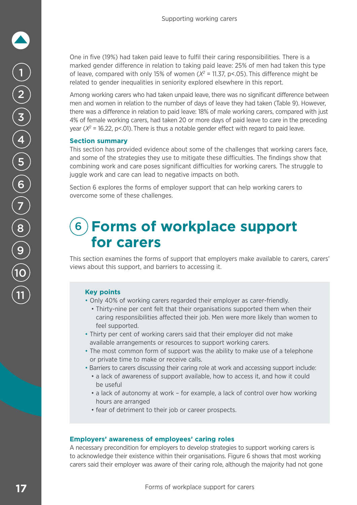<span id="page-18-0"></span>One in five (19%) had taken paid leave to fulfil their caring responsibilities. There is a marked gender difference in relation to taking paid leave: 25% of men had taken this type of leave, compared with only 15% of women  $(X^2 = 11.37, p < 0.05)$ . This difference might be related to gender inequalities in seniority explored elsewhere in this report.

Among working carers who had taken unpaid leave, there was no significant difference between men and women in relation to the number of days of leave they had taken (Table 9). However, there was a difference in relation to paid leave: 18% of male working carers, compared with just 4% of female working carers, had taken 20 or more days of paid leave to care in the preceding year  $(X^2 = 16.22, p<01)$ . There is thus a notable gender effect with regard to paid leave.

#### **Section summary**

This section has provided evidence about some of the challenges that working carers face, and some of the strategies they use to mitigate these difficulties. The findings show that combining work and care poses significant difficulties for working carers. The struggle to juggle work and care can lead to negative impacts on both.

Section 6 explores the forms of employer support that can help working carers to overcome some of these challenges.

### 6 **Forms of workplace support for carers**

This section examines the forms of support that employers make available to carers, carers' views about this support, and barriers to accessing it.

#### **Key points**

- Only 40% of working carers regarded their employer as carer-friendly.
	- Thirty-nine per cent felt that their organisations supported them when their caring responsibilities affected their job. Men were more likely than women to feel supported.
- Thirty per cent of working carers said that their employer did not make available arrangements or resources to support working carers.
- The most common form of support was the ability to make use of a telephone or private time to make or receive calls.
- Barriers to carers discussing their caring role at work and accessing support include:
	- a lack of awareness of support available, how to access it, and how it could be useful
	- a lack of autonomy at work for example, a lack of control over how working hours are arranged
	- fear of detriment to their job or career prospects.

#### **Employers' awareness of employees' caring roles**

A necessary precondition for employers to develop strategies to support working carers is to acknowledge their existence within their organisations. Figure 6 shows that most working carers said their employer was aware of their caring role, although the majority had not gone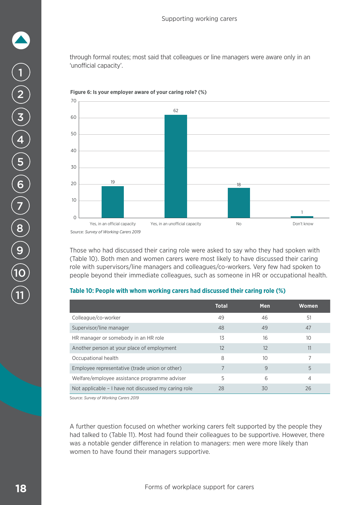through formal routes; most said that colleagues or line managers were aware only in an 'unofficial capacity'.





Those who had discussed their caring role were asked to say who they had spoken with (Table 10). Both men and women carers were most likely to have discussed their caring role with supervisors/line managers and colleagues/co-workers. Very few had spoken to people beyond their immediate colleagues, such as someone in HR or occupational health.

#### **Table 10: People with whom working carers had discussed their caring role (%)**

|                                                      | <b>Total</b> | <b>Men</b> | Women |
|------------------------------------------------------|--------------|------------|-------|
| Colleague/co-worker                                  | 49           | 46         | 51    |
| Supervisor/line manager                              | 48           | 49         | 47    |
| HR manager or somebody in an HR role                 | 13           | 16         | 10    |
| Another person at your place of employment           | 12           | 12         | 11    |
| Occupational health                                  | 8            | 10         |       |
| Employee representative (trade union or other)       |              | 9          | 5     |
| Welfare/employee assistance programme adviser        | 5            | 6          | 4     |
| Not applicable - I have not discussed my caring role | 28           | 30         | 26    |

Source: *Survey of Working Carers 2019*

A further question focused on whether working carers felt supported by the people they had talked to (Table 11). Most had found their colleagues to be supportive. However, there was a notable gender difference in relation to managers: men were more likely than women to have found their managers supportive.

Source: *Survey of Working Carers 2019*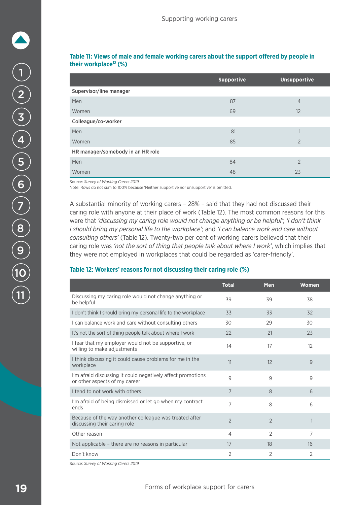#### **Table 11: Views of male and female working carers about the support offered by people in their workplace12 (%)**

|                                   | <b>Supportive</b> | <b>Unsupportive</b> |
|-----------------------------------|-------------------|---------------------|
| Supervisor/line manager           |                   |                     |
| Men                               | 87                | $\overline{4}$      |
| Women                             | 69                | 12                  |
| Colleague/co-worker               |                   |                     |
| Men                               | 81                | 1                   |
| Women                             | 85                | 2                   |
| HR manager/somebody in an HR role |                   |                     |
| Men                               | 84                | $\overline{2}$      |
| Women                             | 48                | 23                  |

Source: *Survey of Working Carers 2019*

Note: Rows do not sum to 100% because 'Neither supportive nor unsupportive' is omitted.

A substantial minority of working carers – 28% – said that they had not discussed their caring role with anyone at their place of work (Table 12). The most common reasons for this were that *'discussing my caring role would not change anything or be helpful'*; *'I don't think I should bring my personal life to the workplace'*; and *'I can balance work and care without consulting others'* (Table 12). Twenty-two per cent of working carers believed that their caring role was *'not the sort of thing that people talk about where I work'*, which implies that they were not employed in workplaces that could be regarded as 'carer-friendly'.

#### **Table 12: Workers' reasons for not discussing their caring role (%)**

|                                                                                              | <b>Total</b>   | <b>Men</b>     | Women |
|----------------------------------------------------------------------------------------------|----------------|----------------|-------|
| Discussing my caring role would not change anything or<br>be helpful                         | 39             | 39             | 38    |
| I don't think I should bring my personal life to the workplace                               | 33             | 33             | 32    |
| I can balance work and care without consulting others                                        | 30             | 29             | 30    |
| It's not the sort of thing people talk about where I work                                    | 22             | 21             | 23    |
| I fear that my employer would not be supportive, or<br>willing to make adjustments           | 14             | 17             | 12    |
| I think discussing it could cause problems for me in the<br>workplace                        | 11             | 12             | 9     |
| I'm afraid discussing it could negatively affect promotions<br>or other aspects of my career | 9              | 9              | 9     |
| I tend to not work with others                                                               | 7              | 8              | 6     |
| I'm afraid of being dismissed or let go when my contract<br>ends                             | 7              | 8              | 6     |
| Because of the way another colleague was treated after<br>discussing their caring role       | $\overline{2}$ | $\overline{2}$ |       |
| Other reason                                                                                 | 4              | $\overline{2}$ | 7     |
| Not applicable - there are no reasons in particular                                          | 17             | 18             | 16    |
| Don't know                                                                                   | 2              | 2              | 2     |

Source: *Survey of Working Carers 2019*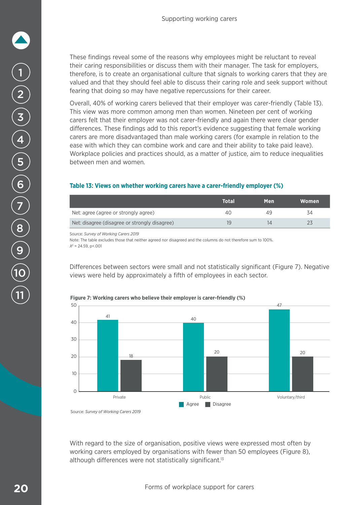These findings reveal some of the reasons why employees might be reluctant to reveal their caring responsibilities or discuss them with their manager. The task for employers, therefore, is to create an organisational culture that signals to working carers that they are valued and that they should feel able to discuss their caring role and seek support without fearing that doing so may have negative repercussions for their career.

Overall, 40% of working carers believed that their employer was carer-friendly (Table 13). This view was more common among men than women. Nineteen per cent of working carers felt that their employer was not carer-friendly and again there were clear gender differences. These findings add to this report's evidence suggesting that female working carers are more disadvantaged than male working carers (for example in relation to the ease with which they can combine work and care and their ability to take paid leave). Workplace policies and practices should, as a matter of justice, aim to reduce inequalities between men and women.

#### **Table 13: Views on whether working carers have a carer-friendly employer (%)**

|                                               | Total | Men | Women |
|-----------------------------------------------|-------|-----|-------|
| Net: agree (agree or strongly agree)          | 40    | 49  |       |
| Net: disagree (disagree or strongly disagree) | 19    |     |       |

Source: *Survey of Working Carers 2019*

Note: The table excludes those that neither agreed nor disagreed and the columns do not therefore sum to 100%. *X2* = 24.59, p<.001

Differences between sectors were small and not statistically significant (Figure 7). Negative views were held by approximately a fifth of employees in each sector.





With regard to the size of organisation, positive views were expressed most often by working carers employed by organisations with fewer than 50 employees (Figure 8), although differences were not statistically significant.<sup>13</sup>

[1](#page-3-0)

[2](#page-4-0)

[3](#page-5-0)

[4](#page-8-0)

[5](#page-9-0)

[6](#page-18-0)

[7](#page-27-0)

[8](#page-33-0)

[9](#page-34-0)

[10](#page-35-0)

[11](#page-40-0)

Source: *Survey of Working Carers 2019*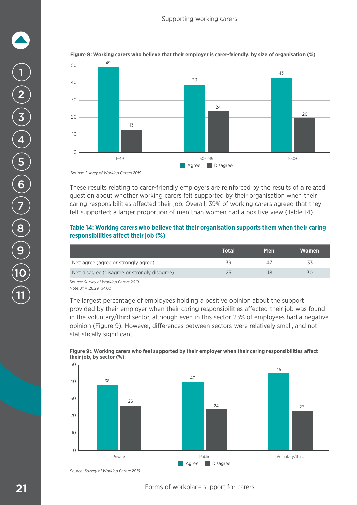

#### **Figure 8: Working carers who believe that their employer is carer-friendly, by size of organisation (%)**

Source: *Survey of Working Carers 2019*

These results relating to carer-friendly employers are reinforced by the results of a related question about whether working carers felt supported by their organisation when their caring responsibilities affected their job. Overall, 39% of working carers agreed that they felt supported; a larger proportion of men than women had a positive view (Table 14).

#### **Table 14: Working carers who believe that their organisation supports them when their caring responsibilities affect their job (%)**

|                                               | <b>Total</b> | Men | Women |
|-----------------------------------------------|--------------|-----|-------|
| Net: agree (agree or strongly agree)          |              |     |       |
| Net: disagree (disagree or strongly disagree) |              |     |       |

Source: *Survey of Working Carers 2019*

Note: *X2* = 26.29, p<.001

The largest percentage of employees holding a positive opinion about the support provided by their employer when their caring responsibilities affected their job was found in the voluntary/third sector, although even in this sector 23% of employees had a negative opinion (Figure 9). However, differences between sectors were relatively small, and not statistically significant.



#### Figure 9:. Working carers who feel supported by their employer when their caring responsibilities affect **their job, by sector (%)**

[1](#page-3-0)

[2](#page-4-0)

[3](#page-5-0)

[4](#page-8-0)

[5](#page-9-0)

[6](#page-18-0)

[7](#page-27-0)

[8](#page-33-0)

[9](#page-34-0)

[10](#page-35-0)

[11](#page-40-0)

Source: *Survey of Working Carers 2019*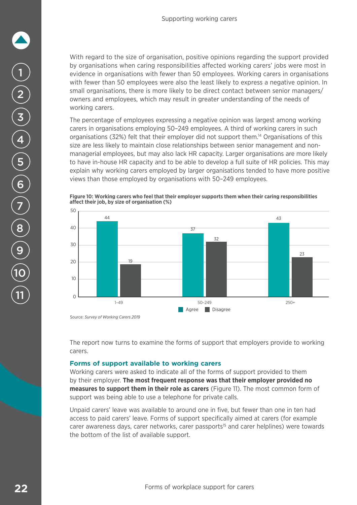With regard to the size of organisation, positive opinions regarding the support provided by organisations when caring responsibilities affected working carers' jobs were most in evidence in organisations with fewer than 50 employees. Working carers in organisations with fewer than 50 employees were also the least likely to express a negative opinion. In small organisations, there is more likely to be direct contact between senior managers/ owners and employees, which may result in greater understanding of the needs of working carers.

The percentage of employees expressing a negative opinion was largest among working carers in organisations employing 50–249 employees. A third of working carers in such organisations (32%) felt that their employer did not support them.<sup>14</sup> Organisations of this size are less likely to maintain close relationships between senior management and nonmanagerial employees, but may also lack HR capacity. Larger organisations are more likely to have in-house HR capacity and to be able to develop a full suite of HR policies. This may explain why working carers employed by larger organisations tended to have more positive views than those employed by organisations with 50–249 employees.





Source: *Survey of Working Carers 2019*

The report now turns to examine the forms of support that employers provide to working carers.

#### **Forms of support available to working carers**

Working carers were asked to indicate all of the forms of support provided to them by their employer. **The most frequent response was that their employer provided no measures to support them in their role as carers** (Figure 11). The most common form of support was being able to use a telephone for private calls.

Unpaid carers' leave was available to around one in five, but fewer than one in ten had access to paid carers' leave. Forms of support specifically aimed at carers (for example carer awareness days, carer networks, carer passports<sup>15</sup> and carer helplines) were towards the bottom of the list of available support.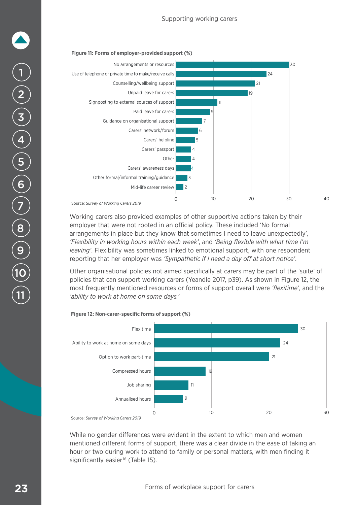

Working carers also provided examples of other supportive actions taken by their employer that were not rooted in an official policy. These included 'No formal arrangements in place but they know that sometimes I need to leave unexpectedly', *'Flexibility in working hours within each week'*, and *'Being flexible with what time I'm leaving'*. Flexibility was sometimes linked to emotional support, with one respondent reporting that her employer was *'Sympathetic if I need a day off at short notice'*.

Other organisational policies not aimed specifically at carers may be part of the 'suite' of policies that can support working carers (Yeandle 2017, p39). As shown in Figure 12, the most frequently mentioned resources or forms of support overall were *'flexitime'*, and the *'ability to work at home on some days.'*



#### **Figure 12: Non-carer-specific forms of support (%)**

Source: *Survey of Working Carers 2019*

While no gender differences were evident in the extent to which men and women mentioned different forms of support, there was a clear divide in the ease of taking an hour or two during work to attend to family or personal matters, with men finding it significantly easier<sup>16</sup> (Table 15).

[10](#page-35-0)

[11](#page-40-0)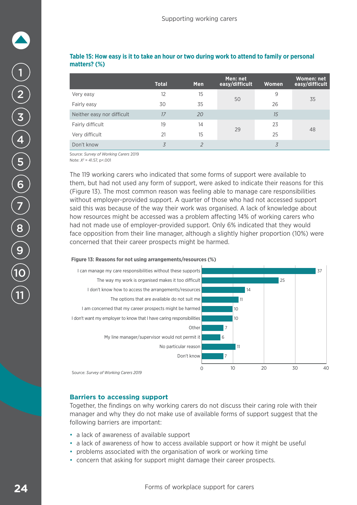| $\begin{bmatrix} 1 \end{bmatrix}$<br>$\Big($ |
|----------------------------------------------|
| $\Big($                                      |
| $\left( 3\right)$                            |
| $\Big($<br>4                                 |
| $\left( \frac{1}{2} \right)$                 |
| 6                                            |
| $\left($ 7                                   |
| $\left( \frac{8}{2}\right)$                  |
| $\Big($<br>9                                 |
| $\widehat{\mathbf{10}}$                      |
| $\boxed{1}$                                  |

#### **Table 15: How easy is it to take an hour or two during work to attend to family or personal matters? (%)**

|                            | <b>Total</b> | <b>Men</b>    | Men: net<br>easy/difficult | Women | Women: net<br>easy/difficult |
|----------------------------|--------------|---------------|----------------------------|-------|------------------------------|
| Very easy                  | 12           | 15            |                            | 9     | 35                           |
| Fairly easy                | 30           | 35            | 50                         | 26    |                              |
| Neither easy nor difficult | 17           | 20            |                            | 15    |                              |
| Fairly difficult           | 19           | 14            | 29                         | 23    | 48                           |
| Very difficult             | 21           | 15            |                            | 25    |                              |
| Don't know                 | 3            | $\mathcal{P}$ |                            | 3     |                              |

Source: *Survey of Working Carers* 2019

Note: *X2* = 41.57, p<.001

The 119 working carers who indicated that some forms of support were available to them, but had not used any form of support, were asked to indicate their reasons for this (Figure 13). The most common reason was feeling able to manage care responsibilities without employer-provided support. A quarter of those who had not accessed support said this was because of the way their work was organised. A lack of knowledge about how resources might be accessed was a problem affecting 14% of working carers who had not made use of employer-provided support. Only 6% indicated that they would face opposition from their line manager, although a slightly higher proportion (10%) were concerned that their career prospects might be harmed.

#### **Figure 13: Reasons for not using arrangements/resources (%)**



#### **Barriers to accessing support**

Together, the findings on why working carers do not discuss their caring role with their manager and why they do not make use of available forms of support suggest that the following barriers are important:

- a lack of awareness of available support
- a lack of awareness of how to access available support or how it might be useful
- problems associated with the organisation of work or working time
- concern that asking for support might damage their career prospects.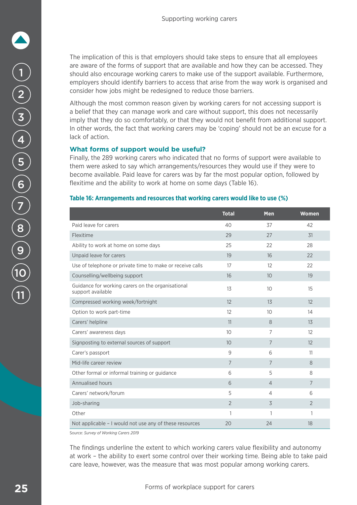The implication of this is that employers should take steps to ensure that all employees are aware of the forms of support that are available and how they can be accessed. They should also encourage working carers to make use of the support available. Furthermore, employers should identify barriers to access that arise from the way work is organised and consider how jobs might be redesigned to reduce those barriers.

Although the most common reason given by working carers for not accessing support is a belief that they can manage work and care without support, this does not necessarily imply that they do so comfortably, or that they would not benefit from additional support. In other words, the fact that working carers may be 'coping' should not be an excuse for a lack of action.

#### **What forms of support would be useful?**

Finally, the 289 working carers who indicated that no forms of support were available to them were asked to say which arrangements/resources they would use if they were to become available. Paid leave for carers was by far the most popular option, followed by flexitime and the ability to work at home on some days (Table 16).

#### **Table 16: Arrangements and resources that working carers would like to use (%)**

|                                                                        | <b>Total</b>   | <b>Men</b>      | Women          |
|------------------------------------------------------------------------|----------------|-----------------|----------------|
| Paid leave for carers                                                  | 40             | 37              | 42             |
| Flexitime                                                              | 29             | 27              | 31             |
| Ability to work at home on some days                                   | 25             | 22              | 28             |
| Unpaid leave for carers                                                | 19             | 16              | 22             |
| Use of telephone or private time to make or receive calls              | 17             | 12              | 22             |
| Counselling/wellbeing support                                          | 16             | 10 <sup>°</sup> | 19             |
| Guidance for working carers on the organisational<br>support available | 13             | 10 <sup>°</sup> | 15             |
| Compressed working week/fortnight                                      | 12             | 13              | 12             |
| Option to work part-time                                               | 12             | 10 <sup>°</sup> | 14             |
| Carers' helpline                                                       | 11             | 8               | 13             |
| Carers' awareness days                                                 | 10             | 7               | 12             |
| Signposting to external sources of support                             | 10             | $\overline{7}$  | 12             |
| Carer's passport                                                       | 9              | 6               | 11             |
| Mid-life career review                                                 | $\overline{7}$ | $\overline{7}$  | 8              |
| Other formal or informal training or guidance                          | 6              | 5               | 8              |
| Annualised hours                                                       | 6              | $\overline{4}$  | $\overline{7}$ |
| Carers' network/forum                                                  | 5              | $\overline{4}$  | 6              |
| Job-sharing                                                            | $\overline{2}$ | 3               | $\overline{2}$ |
| Other                                                                  | 1              | 1               | 1              |
| Not applicable - I would not use any of these resources                | 20             | 24              | 18             |

Source: *Survey of Working Carers 2019*

The findings underline the extent to which working carers value flexibility and autonomy at work – the ability to exert some control over their working time. Being able to take paid care leave, however, was the measure that was most popular among working carers.

[1](#page-3-0)

[2](#page-4-0)

[3](#page-5-0)

[4](#page-8-0)

[5](#page-9-0)

[6](#page-18-0)

[7](#page-27-0)

[8](#page-33-0)

[9](#page-34-0)

[10](#page-35-0)

[11](#page-40-0)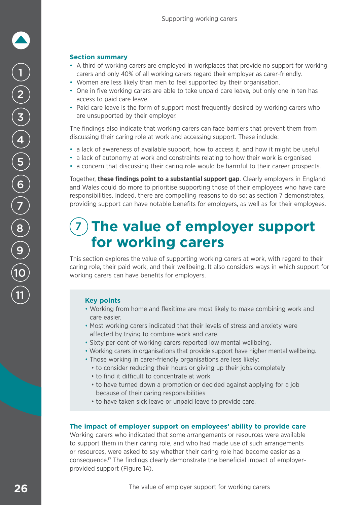# <span id="page-27-0"></span>[1](#page-3-0) [2](#page-4-0) [3](#page-5-0) [4](#page-8-0) [5](#page-9-0) [6](#page-18-0) 7 [8](#page-33-0) [9](#page-34-0) [10](#page-35-0) [11](#page-40-0)

#### **Section summary**

- A third of working carers are employed in workplaces that provide no support for working carers and only 40% of all working carers regard their employer as carer-friendly.
- Women are less likely than men to feel supported by their organisation.
- One in five working carers are able to take unpaid care leave, but only one in ten has access to paid care leave.
- Paid care leave is the form of support most frequently desired by working carers who are unsupported by their employer.

The findings also indicate that working carers can face barriers that prevent them from discussing their caring role at work and accessing support. These include:

- a lack of awareness of available support, how to access it, and how it might be useful
- a lack of autonomy at work and constraints relating to how their work is organised
- a concern that discussing their caring role would be harmful to their career prospects.

Together, **these findings point to a substantial support gap**. Clearly employers in England and Wales could do more to prioritise supporting those of their employees who have care responsibilities. Indeed, there are compelling reasons to do so; as section 7 demonstrates, providing support can have notable benefits for employers, as well as for their employees.

### 7 **The value of employer support for working carers**

This section explores the value of supporting working carers at work, with regard to their caring role, their paid work, and their wellbeing. It also considers ways in which support for working carers can have benefits for employers.

#### **Key points**

- Working from home and flexitime are most likely to make combining work and care easier.
- Most working carers indicated that their levels of stress and anxiety were affected by trying to combine work and care.
- Sixty per cent of working carers reported low mental wellbeing.
- Working carers in organisations that provide support have higher mental wellbeing.
- Those working in carer-friendly organisations are less likely:
	- to consider reducing their hours or giving up their jobs completely
	- to find it difficult to concentrate at work
	- to have turned down a promotion or decided against applying for a job because of their caring responsibilities
	- to have taken sick leave or unpaid leave to provide care.

#### **The impact of employer support on employees' ability to provide care**

Working carers who indicated that some arrangements or resources were available to support them in their caring role, and who had made use of such arrangements or resources, were asked to say whether their caring role had become easier as a consequence.17 The findings clearly demonstrate the beneficial impact of employerprovided support (Figure 14).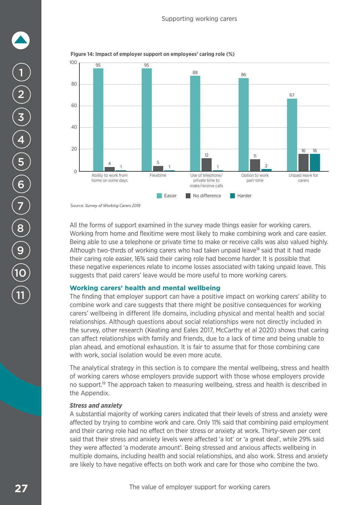

#### **Figure 14: Impact of employer support on employees' caring role (%)**

Source: *Survey of Working Carers 2019*

All the forms of support examined in the survey made things easier for working carers. Working from home and flexitime were most likely to make combining work and care easier. Being able to use a telephone or private time to make or receive calls was also valued highly. Although two-thirds of working carers who had taken unpaid leave<sup>18</sup> said that it had made their caring role easier, 16% said their caring role had become harder. It is possible that these negative experiences relate to income losses associated with taking unpaid leave. This suggests that paid carers' leave would be more useful to more working carers.

#### **Working carers' health and mental wellbeing**

The finding that employer support can have a positive impact on working carers' ability to combine work and care suggests that there might be positive consequences for working carers' wellbeing in different life domains, including physical and mental health and social relationships. Although questions about social relationships were not directly included in the survey, other research (Keating and Eales 2017, McCarthy et al 2020) shows that caring can affect relationships with family and friends, due to a lack of time and being unable to plan ahead, and emotional exhaustion. It is fair to assume that for those combining care with work, social isolation would be even more acute.

The analytical strategy in this section is to compare the mental wellbeing, stress and health of working carers whose employers provide support with those whose employers provide no support.19 The approach taken to measuring wellbeing, stress and health is described in the Appendix.

#### *Stress and anxiety*

A substantial majority of working carers indicated that their levels of stress and anxiety were affected by trying to combine work and care. Only 11% said that combining paid employment and their caring role had no effect on their stress or anxiety at work. Thirty-seven per cent said that their stress and anxiety levels were affected 'a lot' or 'a great deal', while 29% said they were affected 'a moderate amount'. Being stressed and anxious affects wellbeing in multiple domains, including health and social relationships, and also work. Stress and anxiety are likely to have negative effects on both work and care for those who combine the two.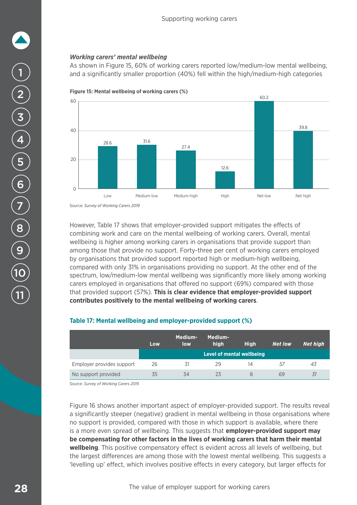#### *Working carers' mental wellbeing*

As shown in Figure 15, 60% of working carers reported low/medium-low mental wellbeing, and a significantly smaller proportion (40%) fell within the high/medium-high categories



**Figure 15: Mental wellbeing of working carers (%)**

However, Table 17 shows that employer-provided support mitigates the effects of combining work and care on the mental wellbeing of working carers. Overall, mental wellbeing is higher among working carers in organisations that provide support than among those that provide no support. Forty-three per cent of working carers employed by organisations that provided support reported high or medium-high wellbeing, compared with only 31% in organisations providing no support. At the other end of the spectrum, low/medium-low mental wellbeing was significantly more likely among working carers employed in organisations that offered no support (69%) compared with those that provided support (57%). **This is clear evidence that employer-provided support contributes positively to the mental wellbeing of working carers**.

|                           | Low | Medium-<br>low | Medium-<br>high                  | <b>High</b> | <b>Net low</b> | Net high |
|---------------------------|-----|----------------|----------------------------------|-------------|----------------|----------|
|                           |     |                | <b>Level of mental wellbeing</b> |             |                |          |
| Employer provides support | 26  | 31             | 29                               | 14          | 57             | 43       |
| No support provided       | 35  | 34             | 23                               |             | 69             |          |

#### **Table 17: Mental wellbeing and employer-provided support (%)**

Source: *Survey of Working Carers 2019*

Figure 16 shows another important aspect of employer-provided support. The results reveal a significantly steeper (negative) gradient in mental wellbeing in those organisations where no support is provided, compared with those in which support is available, where there is a more even spread of wellbeing. This suggests that **employer-provided support may be compensating for other factors in the lives of working carers that harm their mental wellbeing**. This positive compensatory effect is evident across all levels of wellbeing, but the largest differences are among those with the lowest mental wellbeing. This suggests a 'levelling up' effect, which involves positive effects in every category, but larger effects for

Source: *Survey of Working Carers 2019*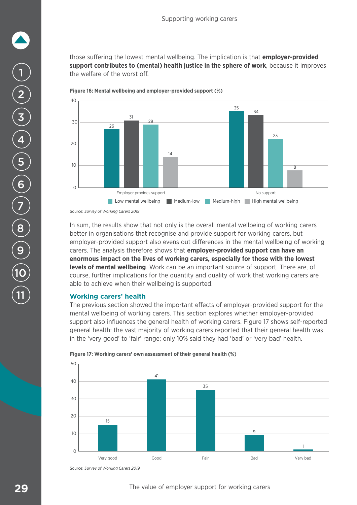those suffering the lowest mental wellbeing. The implication is that **employer-provided support contributes to (mental) health justice in the sphere of work**, because it improves the welfare of the worst off.



**Figure 16: Mental wellbeing and employer-provided support (%)**

Source: *Survey of Working Carers 2019*

In sum, the results show that not only is the overall mental wellbeing of working carers better in organisations that recognise and provide support for working carers, but employer-provided support also evens out differences in the mental wellbeing of working carers. The analysis therefore shows that **employer-provided support can have an enormous impact on the lives of working carers, especially for those with the lowest levels of mental wellbeing**. Work can be an important source of support. There are, of course, further implications for the quantity and quality of work that working carers are able to achieve when their wellbeing is supported.

#### **Working carers' health**

The previous section showed the important effects of employer-provided support for the mental wellbeing of working carers. This section explores whether employer-provided support also influences the general health of working carers. Figure 17 shows self-reported general health: the vast majority of working carers reported that their general health was in the 'very good' to 'fair' range; only 10% said they had 'bad' or 'very bad' health.



#### **Figure 17: Working carers' own assessment of their general health (%)**

Source: *Survey of Working Carers 2019*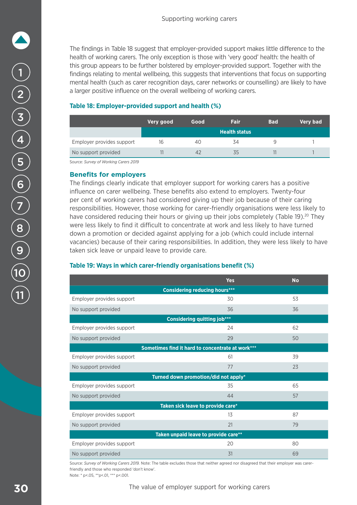The findings in Table 18 suggest that employer-provided support makes little difference to the health of working carers. The only exception is those with 'very good' health: the health of this group appears to be further bolstered by employer-provided support. Together with the findings relating to mental wellbeing, this suggests that interventions that focus on supporting mental health (such as carer recognition days, carer networks or counselling) are likely to have a larger positive influence on the overall wellbeing of working carers.

#### **Table 18: Employer-provided support and health (%)**

|                           | Very good | Good     | Fair                 | <b>Bad</b> | <b>Very bad</b> |
|---------------------------|-----------|----------|----------------------|------------|-----------------|
|                           |           |          | <b>Health status</b> |            |                 |
| Employer provides support | 16        | 40       | 34                   |            |                 |
| No support provided       |           | $\Delta$ | 35                   |            |                 |

Source: *Survey of Working Carers 2019*

#### **Benefits for employers**

The findings clearly indicate that employer support for working carers has a positive influence on carer wellbeing. These benefits also extend to employers. Twenty-four per cent of working carers had considered giving up their job because of their caring responsibilities. However, those working for carer-friendly organisations were less likely to have considered reducing their hours or giving up their jobs completely (Table 19).<sup>20</sup> They were less likely to find it difficult to concentrate at work and less likely to have turned down a promotion or decided against applying for a job (which could include internal vacancies) because of their caring responsibilities. In addition, they were less likely to have taken sick leave or unpaid leave to provide care.

#### **Table 19: Ways in which carer-friendly organisations benefit (%)**

|                                      | <b>Yes</b>                                       | <b>No</b> |  |  |
|--------------------------------------|--------------------------------------------------|-----------|--|--|
|                                      | <b>Considering reducing hours***</b>             |           |  |  |
| Employer provides support            | 30                                               | 53        |  |  |
| No support provided                  | 36                                               | 36        |  |  |
|                                      | <b>Considering quitting job***</b>               |           |  |  |
| Employer provides support            | 24                                               | 62        |  |  |
| No support provided                  | 29                                               | 50        |  |  |
|                                      | Sometimes find it hard to concentrate at work*** |           |  |  |
| Employer provides support            | 61                                               | 39        |  |  |
| No support provided                  | 77                                               | 23        |  |  |
|                                      | Turned down promotion/did not apply*             |           |  |  |
| Employer provides support            | 35                                               | 65        |  |  |
| No support provided                  | 44                                               | 57        |  |  |
|                                      | Taken sick leave to provide care*                |           |  |  |
| Employer provides support            | 13                                               | 87        |  |  |
| No support provided                  | 21                                               | 79        |  |  |
| Taken unpaid leave to provide care** |                                                  |           |  |  |
| Employer provides support            | 20                                               | 80        |  |  |
| No support provided                  | 31                                               | 69        |  |  |

Source: *Survey of Working Carers 2019.* Note: The table excludes those that neither agreed nor disagreed that their employer was carerfriendly and those who responded 'don't know'. Note: \* p<.05, \*\*p<.01, \*\*\* p<.001.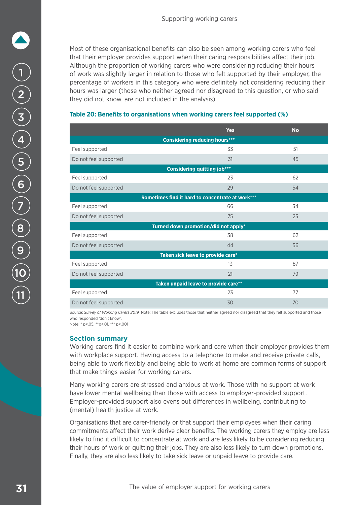Most of these organisational benefits can also be seen among working carers who feel that their employer provides support when their caring responsibilities affect their job. Although the proportion of working carers who were considering reducing their hours of work was slightly larger in relation to those who felt supported by their employer, the percentage of workers in this category who were definitely not considering reducing their hours was larger (those who neither agreed nor disagreed to this question, or who said they did not know, are not included in the analysis).

#### **Table 20: Benefits to organisations when working carers feel supported (%)**

|                                                  | <b>Yes</b> | <b>No</b> |
|--------------------------------------------------|------------|-----------|
| <b>Considering reducing hours***</b>             |            |           |
| Feel supported                                   | 33         | 51        |
| Do not feel supported                            | 31         | 45        |
| <b>Considering quitting job***</b>               |            |           |
| Feel supported                                   | 23         | 62        |
| Do not feel supported                            | 29         | 54        |
| Sometimes find it hard to concentrate at work*** |            |           |
| Feel supported                                   | 66         | 34        |
| Do not feel supported                            | 75         | 25        |
| Turned down promotion/did not apply*             |            |           |
| Feel supported                                   | 38         | 62        |
| Do not feel supported                            | 44         | 56        |
| Taken sick leave to provide care*                |            |           |
| Feel supported                                   | 13         | 87        |
| Do not feel supported                            | 21         | 79        |
| Taken unpaid leave to provide care**             |            |           |
| Feel supported                                   | 23         | 77        |
| Do not feel supported                            | 30         | 70        |

Source: *Survey of Working Carers 2019.* Note: The table excludes those that neither agreed nor disagreed that they felt supported and those who responded 'don't know'. Note: \* p<.05, \*\*p<.01, \*\*\* p<.001

#### **Section summary**

Working carers find it easier to combine work and care when their employer provides them with workplace support. Having access to a telephone to make and receive private calls, being able to work flexibly and being able to work at home are common forms of support that make things easier for working carers.

Many working carers are stressed and anxious at work. Those with no support at work have lower mental wellbeing than those with access to employer-provided support. Employer-provided support also evens out differences in wellbeing, contributing to (mental) health justice at work.

Organisations that are carer-friendly or that support their employees when their caring commitments affect their work derive clear benefits. The working carers they employ are less likely to find it difficult to concentrate at work and are less likely to be considering reducing their hours of work or quitting their jobs. They are also less likely to turn down promotions. Finally, they are also less likely to take sick leave or unpaid leave to provide care.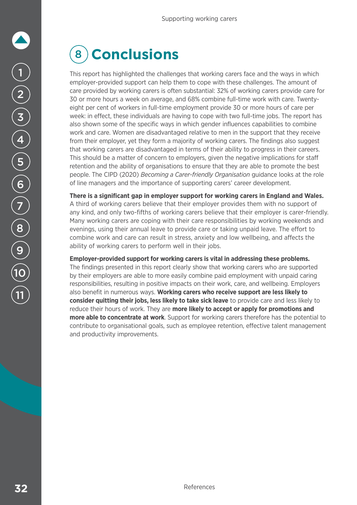## <span id="page-33-0"></span>8 **Conclusions**

This report has highlighted the challenges that working carers face and the ways in which employer-provided support can help them to cope with these challenges. The amount of care provided by working carers is often substantial: 32% of working carers provide care for 30 or more hours a week on average, and 68% combine full-time work with care. Twentyeight per cent of workers in full-time employment provide 30 or more hours of care per week: in effect, these individuals are having to cope with two full-time jobs. The report has also shown some of the specific ways in which gender influences capabilities to combine work and care. Women are disadvantaged relative to men in the support that they receive from their employer, yet they form a majority of working carers. The findings also suggest that working carers are disadvantaged in terms of their ability to progress in their careers. This should be a matter of concern to employers, given the negative implications for staff retention and the ability of organisations to ensure that they are able to promote the best people. The CIPD (2020) *Becoming a Carer-friendly Organisation* guidance looks at the role of line managers and the importance of supporting carers' career development.

**There is a significant gap in employer support for working carers in England and Wales.** A third of working carers believe that their employer provides them with no support of any kind, and only two-fifths of working carers believe that their employer is carer-friendly. Many working carers are coping with their care responsibilities by working weekends and evenings, using their annual leave to provide care or taking unpaid leave. The effort to combine work and care can result in stress, anxiety and low wellbeing, and affects the ability of working carers to perform well in their jobs.

**Employer-provided support for working carers is vital in addressing these problems.** The findings presented in this report clearly show that working carers who are supported by their employers are able to more easily combine paid employment with unpaid caring responsibilities, resulting in positive impacts on their work, care, and wellbeing. Employers also benefit in numerous ways. **Working carers who receive support are less likely to consider quitting their jobs, less likely to take sick leave** to provide care and less likely to reduce their hours of work. They are **more likely to accept or apply for promotions and more able to concentrate at work**. Support for working carers therefore has the potential to contribute to organisational goals, such as employee retention, effective talent management and productivity improvements.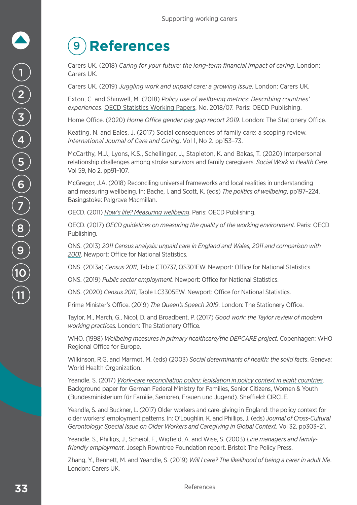### <span id="page-34-0"></span>9 **References**

Carers UK. (2018) *Caring for your future: the long-term financial impact of caring*. London: Carers UK.

Carers UK. (2019) *Juggling work and unpaid care: a growing issue*. London: Carers UK.

Exton, C. and Shinwell, M. (2018) *Policy use of wellbeing metrics: Describing countries' experiences*. [OECD Statistics Working Papers,](https://doi.org/10.1787/d98eb8ed-en) No. 2018/07. Paris: OECD Publishing.

Home Office. (2020) *Home Office gender pay gap report 2019*. London: The Stationery Office.

Keating, N. and Eales, J. (2017) Social consequences of family care: a scoping review. *International Journal of Care and Caring*. Vol 1, No 2. pp153–73.

McCarthy, M.J., Lyons, K.S., Schellinger, J., Stapleton, K. and Bakas, T. (2020) Interpersonal relationship challenges among stroke survivors and family caregivers. *Social Work in Health Care*. Vol 59, No 2. pp91–107.

McGregor, J.A. (2018) Reconciling universal frameworks and local realities in understanding and measuring wellbeing. In: Bache, I. and Scott, K. (eds) *The politics of wellbeing*, pp197–224. Basingstoke: Palgrave Macmillan.

OECD. (2011) *[How's life? Measuring wellbeing](https://doi.org/10.1787/9789264121164-en)*. Paris: OECD Publishing.

OECD. (2017) *[OECD guidelines on measuring the quality of the working environment](https://doi.org/10.1787/9789264278240-en)*. Paris: OECD Publishing.

ONS. (2013) *2011 [Census analysis: unpaid care in England and Wales, 2011 and comparison with](https://www.ons.gov.uk/peoplepopulationandcommunity/healthandsocialcare/healthcaresystem/articles/2011censusanalysisunpaidcareinenglandandwales2011andcomparisonwith2001/2013-02-15)  [2001](https://www.ons.gov.uk/peoplepopulationandcommunity/healthandsocialcare/healthcaresystem/articles/2011censusanalysisunpaidcareinenglandandwales2011andcomparisonwith2001/2013-02-15)*. Newport: Office for National Statistics.

ONS. (2013a) *Census 2011*, Table CT0737, QS301EW. Newport: Office for National Statistics.

ONS. (2019) *Public sector employment*. Newport: Office for National Statistics.

ONS. (2020) *Census 2011*[, Table LC3305EW.](https://www.nomisweb.co.uk/census/2011/lc3305ew) Newport: Office for National Statistics.

Prime Minister's Office. (2019) *The Queen's Speech 2019*. London: The Stationery Office.

Taylor, M., March, G., Nicol, D. and Broadbent, P. (2017) *Good work: the Taylor review of modern working practices.* London: The Stationery Office.

WHO. (1998) *Wellbeing measures in primary healthcare/the DEPCARE project*. Copenhagen: WHO Regional Office for Europe.

Wilkinson, R.G. and Marmot, M. (eds) (2003) *Social determinants of health: the solid facts*. Geneva: World Health Organization.

Yeandle, S. (2017) *[Work-care reconciliation policy: legislation in policy context in eight countries](http://circle.group.shef.ac.uk/wp-content/uploads/2018/11/yeandle-WCR-v2.pdf)*. Background paper for German Federal Ministry for Families, Senior Citizens, Women & Youth (Bundesministerium für Familie, Senioren, Frauen und Jugend). Sheffield: CIRCLE.

Yeandle, S. and Buckner, L. (2017) Older workers and care-giving in England: the policy context for older workers' employment patterns. In: O'Loughlin, K. and Phillips, J. (eds) *Journal of Cross-Cultural Gerontology: Special Issue on Older Workers and Caregiving in Global Context*. Vol 32. pp303–21.

Yeandle, S., Phillips, J., Scheibl, F., Wigfield, A. and Wise, S. (2003) *Line managers and familyfriendly employment.* Joseph Rowntree Foundation report. Bristol: The Policy Press.

Zhang, Y., Bennett, M. and Yeandle, S. (2019) *Will I care? The likelihood of being a carer in adult life*. London: Carers UK.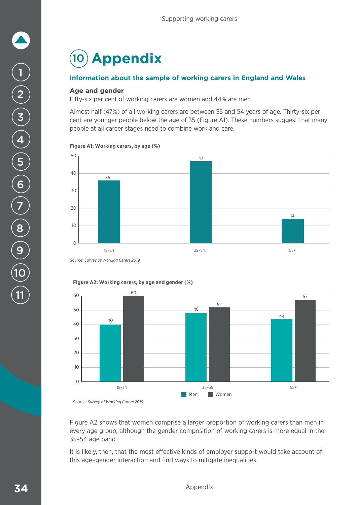# <span id="page-35-0"></span> **Appendix**

#### **Information about the sample of working carers in England and Wales**

#### **Age and gender**

Fifty-six per cent of working carers are women and 44% are men.

Almost half (47%) of all working carers are between 35 and 54 years of age. Thirty-six per cent are younger people below the age of 35 (Figure A1). These numbers suggest that many people at all career stages need to combine work and care.

**Figure A1: Working carers, by age (%)**



Source: *Survey of Working Carers 2019*



#### **Figure A2: Working carers, by age and gender (%)**

Source: *Survey of Working Carers 2019*

Figure A2 shows that women comprise a larger proportion of working carers than men in every age group, although the gender composition of working carers is more equal in the 35–54 age band.

It is likely, then, that the most effective kinds of employer support would take account of this age–gender interaction and find ways to mitigate inequalities.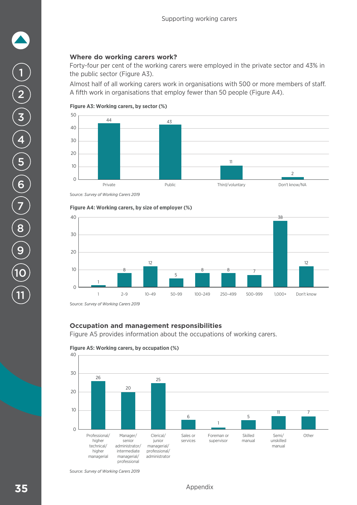#### **Where do working carers work?**

Forty-four per cent of the working carers were employed in the private sector and 43% in the public sector (Figure A3).

Almost half of all working carers work in organisations with 500 or more members of staff. A fifth work in organisations that employ fewer than 50 people (Figure A4).





Source: *Survey of Working Carers 2019*



#### **Figure A4: Working carers, by size of employer (%)**

Source: *Survey of Working Carers 2019*

#### **Occupation and management responsibilities**

Figure A5 provides information about the occupations of working carers.



#### **Figure A5: Working carers, by occupation (%)**

Source: *Survey of Working Carers 2019*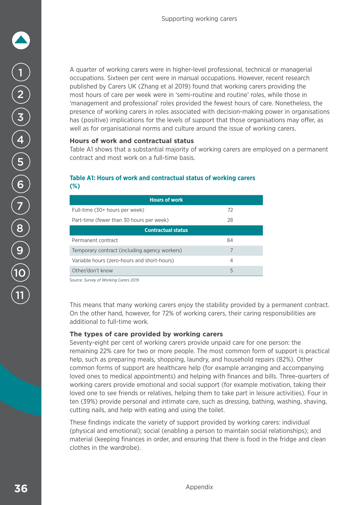A quarter of working carers were in higher-level professional, technical or managerial occupations. Sixteen per cent were in manual occupations. However, recent research published by Carers UK (Zhang et al 2019) found that working carers providing the most hours of care per week were in 'semi-routine and routine' roles, while those in 'management and professional' roles provided the fewest hours of care. Nonetheless, the presence of working carers in roles associated with decision-making power in organisations has (positive) implications for the levels of support that those organisations may offer, as well as for organisational norms and culture around the issue of working carers.

#### **Hours of work and contractual status**

Table A1 shows that a substantial majority of working carers are employed on a permanent contract and most work on a full-time basis.

#### **Table A1: Hours of work and contractual status of working carers (%)**

| <b>Hours of work</b>                          |    |
|-----------------------------------------------|----|
| Full-time (30+ hours per week)                | 72 |
| Part-time (fewer than 30 hours per week)      | 28 |
| <b>Contractual status</b>                     |    |
| Permanent contract                            | 84 |
| Temporary contract (including agency workers) | 7  |
| Variable hours (zero-hours and short-hours)   | 4  |
| Other/don't know                              | 5  |

Source: *Survey of Working Carers* 2019

This means that many working carers enjoy the stability provided by a permanent contract. On the other hand, however, for 72% of working carers, their caring responsibilities are additional to full-time work.

#### **The types of care provided by working carers**

Seventy-eight per cent of working carers provide unpaid care for one person: the remaining 22% care for two or more people. The most common form of support is practical help, such as preparing meals, shopping, laundry, and household repairs (82%). Other common forms of support are healthcare help (for example arranging and accompanying loved ones to medical appointments) and helping with finances and bills. Three-quarters of working carers provide emotional and social support (for example motivation, taking their loved one to see friends or relatives, helping them to take part in leisure activities). Four in ten (39%) provide personal and intimate care, such as dressing, bathing, washing, shaving, cutting nails, and help with eating and using the toilet.

These findings indicate the variety of support provided by working carers: individual (physical and emotional); social (enabling a person to maintain social relationships); and material (keeping finances in order, and ensuring that there is food in the fridge and clean clothes in the wardrobe).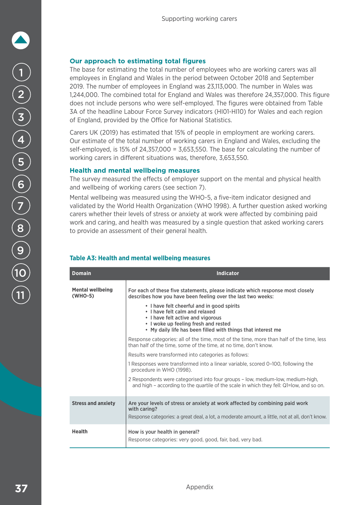#### **Our approach to estimating total figures**

The base for estimating the total number of employees who are working carers was all employees in England and Wales in the period between October 2018 and September 2019. The number of employees in England was 23,113,000. The number in Wales was 1,244,000. The combined total for England and Wales was therefore 24,357,000. This figure does not include persons who were self-employed. The figures were obtained from Table 3A of the headline Labour Force Survey indicators (HI01-HI10) for Wales and each region of England, provided by the Office for National Statistics.

Carers UK (2019) has estimated that 15% of people in employment are working carers. Our estimate of the total number of working carers in England and Wales, excluding the self-employed, is 15% of 24,357,000 = 3,653,550. The base for calculating the number of working carers in different situations was, therefore, 3,653,550.

#### **Health and mental wellbeing measures**

The survey measured the effects of employer support on the mental and physical health and wellbeing of working carers (see section 7).

Mental wellbeing was measured using the WHO-5, a five-item indicator designed and validated by the World Health Organization (WHO 1998). A further question asked working carers whether their levels of stress or anxiety at work were affected by combining paid work and caring, and health was measured by a single question that asked working carers to provide an assessment of their general health.

| <b>Domain</b>                      | <b>Indicator</b>                                                                                                                                                                                                          |
|------------------------------------|---------------------------------------------------------------------------------------------------------------------------------------------------------------------------------------------------------------------------|
| <b>Mental wellbeing</b><br>(WHO-5) | For each of these five statements, please indicate which response most closely<br>describes how you have been feeling over the last two weeks:                                                                            |
|                                    | • I have felt cheerful and in good spirits<br>. I have felt calm and relaxed<br>• I have felt active and vigorous<br>• I woke up feeling fresh and rested<br>• My daily life has been filled with things that interest me |
|                                    | Response categories: all of the time, most of the time, more than half of the time, less<br>than half of the time, some of the time, at no time, don't know.                                                              |
|                                    | Results were transformed into categories as follows:                                                                                                                                                                      |
|                                    | 1 Responses were transformed into a linear variable, scored 0-100, following the<br>procedure in WHO (1998).                                                                                                              |
|                                    | 2 Respondents were categorised into four groups - low, medium-low, medium-high,<br>and high – according to the quartile of the scale in which they fell: Q1=low, and so on.                                               |
| <b>Stress and anxiety</b>          | Are your levels of stress or anxiety at work affected by combining paid work<br>with caring?<br>Response categories: a great deal, a lot, a moderate amount, a little, not at all, don't know.                            |
| <b>Health</b>                      | How is your health in general?<br>Response categories: very good, good, fair, bad, very bad.                                                                                                                              |

#### **Table A3: Health and mental wellbeing measures**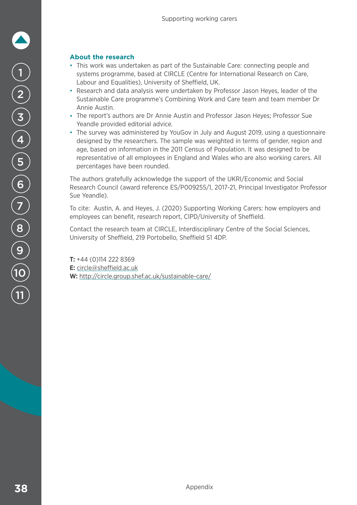# [1](#page-3-0) [2](#page-4-0) [3](#page-5-0) [4](#page-8-0) [5](#page-9-0) [6](#page-18-0) [7](#page-27-0) [8](#page-33-0) [9](#page-34-0) [10](#page-35-0) [11](#page-40-0)

#### **About the research**

- This work was undertaken as part of the Sustainable Care: connecting people and systems programme, based at CIRCLE (Centre for International Research on Care, Labour and Equalities), University of Sheffield, UK.
- Research and data analysis were undertaken by Professor Jason Heyes, leader of the Sustainable Care programme's Combining Work and Care team and team member Dr Annie Austin.
- The report's authors are Dr Annie Austin and Professor Jason Heyes; Professor Sue Yeandle provided editorial advice.
- The survey was administered by YouGov in July and August 2019, using a questionnaire designed by the researchers. The sample was weighted in terms of gender, region and age, based on information in the 2011 Census of Population. It was designed to be representative of all employees in England and Wales who are also working carers. All percentages have been rounded.

The authors gratefully acknowledge the support of the UKRI/Economic and Social Research Council (award reference ES/P009255/1, 2017-21, Principal Investigator Professor Sue Yeandle).

To cite: Austin, A. and Heyes, J. (2020) Supporting Working Carers: how employers and employees can benefit, research report, CIPD/University of Sheffield.

Contact the research team at CIRCLE, Interdisciplinary Centre of the Social Sciences, University of Sheffield, 219 Portobello, Sheffield S1 4DP.

**T:** +44 (0)114 222 8369 **E:** [circle@sheffield.ac.uk](mailto:circle%40sheffield.ac.uk?subject=) **W:** <http://circle.group.shef.ac.uk/sustainable-care/>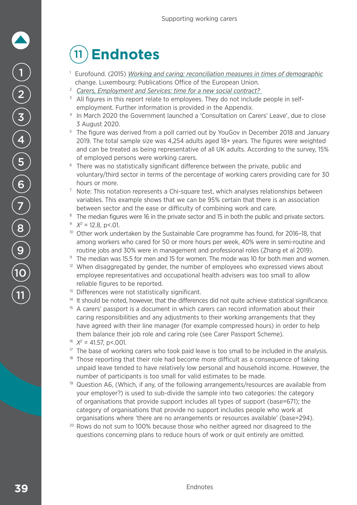### <span id="page-40-0"></span>11 **Endnotes**

- 1 Eurofound. (2015) *[Working and caring: reconciliation measures in times of demographic](https://www.eurofound.europa.eu/observatories/eurwork/case-studies/workers-with-care-responsibilities)* change. Luxembourg: Publications Office of the European Union.
- 2 *[Carers, Employment and Services: time for a new social contract?](http://circle.group.shef.ac.uk/wp-content/uploads/2018/04/CES-6-EWS4031Time-for-a-new-social-contract.pdf)*
- <sup>3</sup> All figures in this report relate to employees. They do not include people in selfemployment. Further information is provided in the Appendix.
- 4 In March 2020 the Government launched a 'Consultation on Carers' Leave', due to close 3 August 2020.
- <sup>5</sup> The figure was derived from a poll carried out by YouGov in December 2018 and January 2019. The total sample size was 4,254 adults aged 18+ years. The figures were weighted and can be treated as being representative of all UK adults. According to the survey, 15% of employed persons were working carers.
- <sup>6</sup> There was no statistically significant difference between the private, public and voluntary/third sector in terms of the percentage of working carers providing care for 30 hours or more.
- $<sup>7</sup>$  Note: This notation represents a Chi-square test, which analyses relationships between</sup> variables. This example shows that we can be 95% certain that there is an association between sector and the ease or difficulty of combining work and care.
- <sup>8</sup> The median figures were 16 in the private sector and 15 in both the public and private sectors.
- $\frac{9}{2}$   $\chi^2$  = 12.8, p < 01.
- <sup>10</sup> Other work undertaken by the Sustainable Care programme has found, for 2016–18, that among workers who cared for 50 or more hours per week, 40% were in semi-routine and routine jobs and 30% were in management and professional roles (Zhang et al 2019).
- <sup>11</sup> The median was 15.5 for men and 15 for women. The mode was 10 for both men and women.
- $12$  When disaggregated by gender, the number of employees who expressed views about employee representatives and occupational health advisers was too small to allow reliable figures to be reported.
- <sup>13</sup> Differences were not statistically significant.
- <sup>14</sup> It should be noted, however, that the differences did not quite achieve statistical significance.
- <sup>15</sup> A carers' passport is a document in which carers can record information about their caring responsibilities and any adjustments to their working arrangements that they have agreed with their line manager (for example compressed hours) in order to help them balance their job role and caring role (see Carer Passport Scheme).
- $16 \text{ } X^2 = 41.57, \text{ } p < .001.$
- $17$  The base of working carers who took paid leave is too small to be included in the analysis.
- <sup>18</sup> Those reporting that their role had become more difficult as a consequence of taking unpaid leave tended to have relatively low personal and household income. However, the number of participants is too small for valid estimates to be made.
- $19$  Question A6, (Which, if any, of the following arrangements/resources are available from your employer?) is used to sub-divide the sample into two categories: the category of organisations that provide support includes all types of support (base=671); the category of organisations that provide no support includes people who work at organisations where 'there are no arrangements or resources available' (base=294).
- <sup>20</sup> Rows do not sum to 100% because those who neither agreed nor disagreed to the questions concerning plans to reduce hours of work or quit entirely are omitted.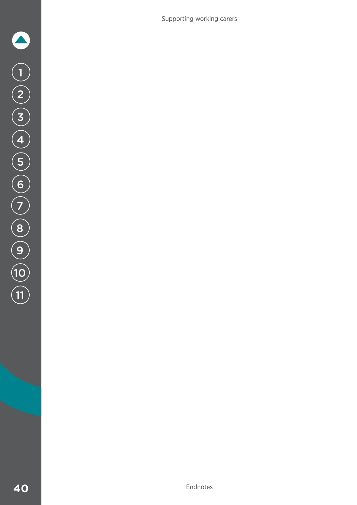Supporting working carers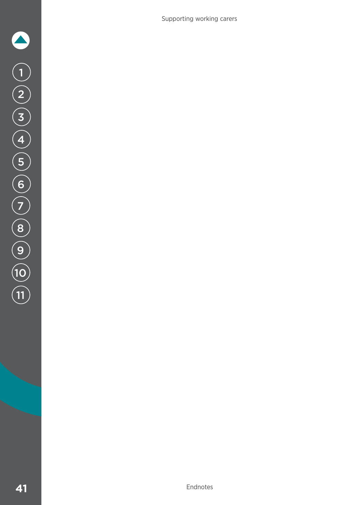Supporting working carers

Endnotes